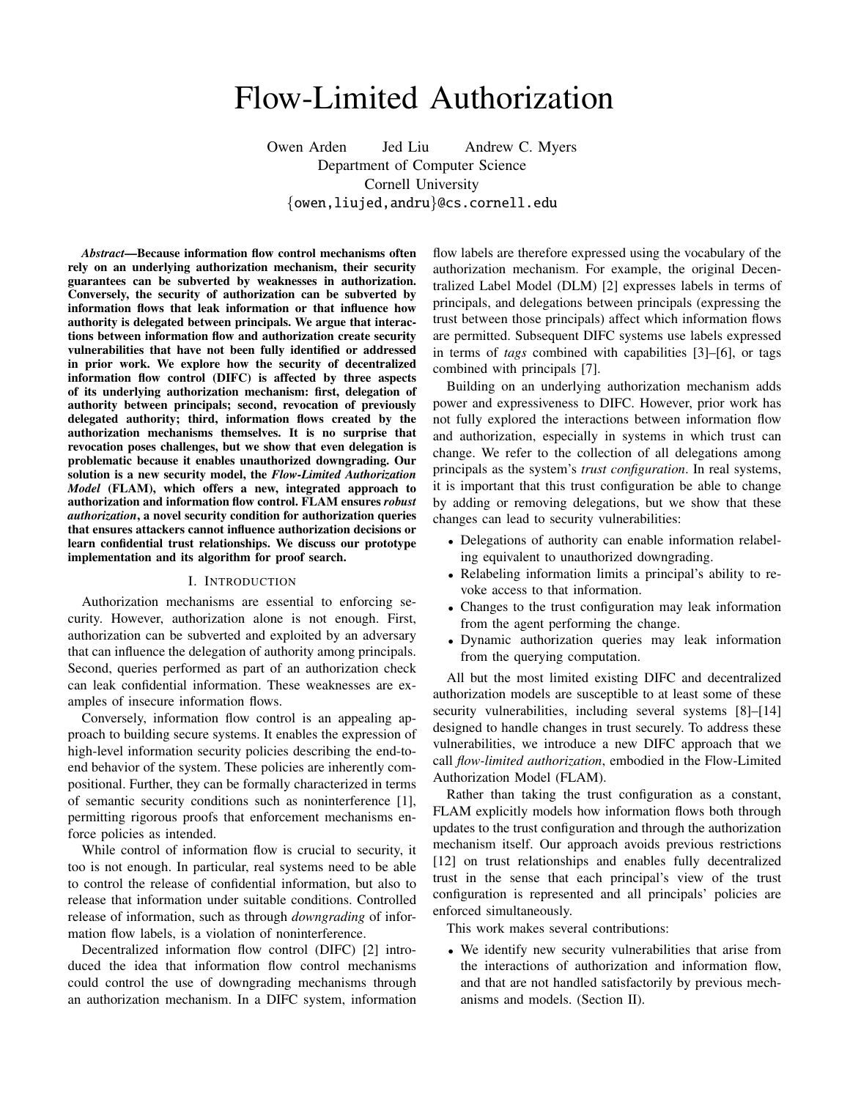# Flow-Limited Authorization

Owen Arden Jed Liu Andrew C. Myers Department of Computer Science Cornell University {owen,liujed,andru}@cs.cornell.edu

*Abstract*—Because information flow control mechanisms often rely on an underlying authorization mechanism, their security guarantees can be subverted by weaknesses in authorization. Conversely, the security of authorization can be subverted by information flows that leak information or that influence how authority is delegated between principals. We argue that interactions between information flow and authorization create security vulnerabilities that have not been fully identified or addressed in prior work. We explore how the security of decentralized information flow control (DIFC) is affected by three aspects of its underlying authorization mechanism: first, delegation of authority between principals; second, revocation of previously delegated authority; third, information flows created by the authorization mechanisms themselves. It is no surprise that revocation poses challenges, but we show that even delegation is problematic because it enables unauthorized downgrading. Our solution is a new security model, the *Flow-Limited Authorization Model* (FLAM), which offers a new, integrated approach to authorization and information flow control. FLAM ensures *robust authorization*, a novel security condition for authorization queries that ensures attackers cannot influence authorization decisions or learn confidential trust relationships. We discuss our prototype implementation and its algorithm for proof search.

#### I. INTRODUCTION

Authorization mechanisms are essential to enforcing security. However, authorization alone is not enough. First, authorization can be subverted and exploited by an adversary that can influence the delegation of authority among principals. Second, queries performed as part of an authorization check can leak confidential information. These weaknesses are examples of insecure information flows.

Conversely, information flow control is an appealing approach to building secure systems. It enables the expression of high-level information security policies describing the end-toend behavior of the system. These policies are inherently compositional. Further, they can be formally characterized in terms of semantic security conditions such as noninterference [\[1\]](#page-13-0), permitting rigorous proofs that enforcement mechanisms enforce policies as intended.

While control of information flow is crucial to security, it too is not enough. In particular, real systems need to be able to control the release of confidential information, but also to release that information under suitable conditions. Controlled release of information, such as through *downgrading* of information flow labels, is a violation of noninterference.

Decentralized information flow control (DIFC) [\[2\]](#page-13-1) introduced the idea that information flow control mechanisms could control the use of downgrading mechanisms through an authorization mechanism. In a DIFC system, information

flow labels are therefore expressed using the vocabulary of the authorization mechanism. For example, the original Decentralized Label Model (DLM) [\[2\]](#page-13-1) expresses labels in terms of principals, and delegations between principals (expressing the trust between those principals) affect which information flows are permitted. Subsequent DIFC systems use labels expressed in terms of *tags* combined with capabilities [\[3\]](#page-13-2)–[\[6\]](#page-13-3), or tags combined with principals [\[7\]](#page-13-4).

Building on an underlying authorization mechanism adds power and expressiveness to DIFC. However, prior work has not fully explored the interactions between information flow and authorization, especially in systems in which trust can change. We refer to the collection of all delegations among principals as the system's *trust configuration*. In real systems, it is important that this trust configuration be able to change by adding or removing delegations, but we show that these changes can lead to security vulnerabilities:

- Delegations of authority can enable information relabeling equivalent to unauthorized downgrading.
- Relabeling information limits a principal's ability to revoke access to that information.
- Changes to the trust configuration may leak information from the agent performing the change.
- Dynamic authorization queries may leak information from the querying computation.

All but the most limited existing DIFC and decentralized authorization models are susceptible to at least some of these security vulnerabilities, including several systems [\[8\]](#page-13-5)–[\[14\]](#page-13-6) designed to handle changes in trust securely. To address these vulnerabilities, we introduce a new DIFC approach that we call *flow-limited authorization*, embodied in the Flow-Limited Authorization Model (FLAM).

Rather than taking the trust configuration as a constant, FLAM explicitly models how information flows both through updates to the trust configuration and through the authorization mechanism itself. Our approach avoids previous restrictions [\[12\]](#page-13-7) on trust relationships and enables fully decentralized trust in the sense that each principal's view of the trust configuration is represented and all principals' policies are enforced simultaneously.

This work makes several contributions:

• We identify new security vulnerabilities that arise from the interactions of authorization and information flow, and that are not handled satisfactorily by previous mechanisms and models. (Section [II\)](#page-1-0).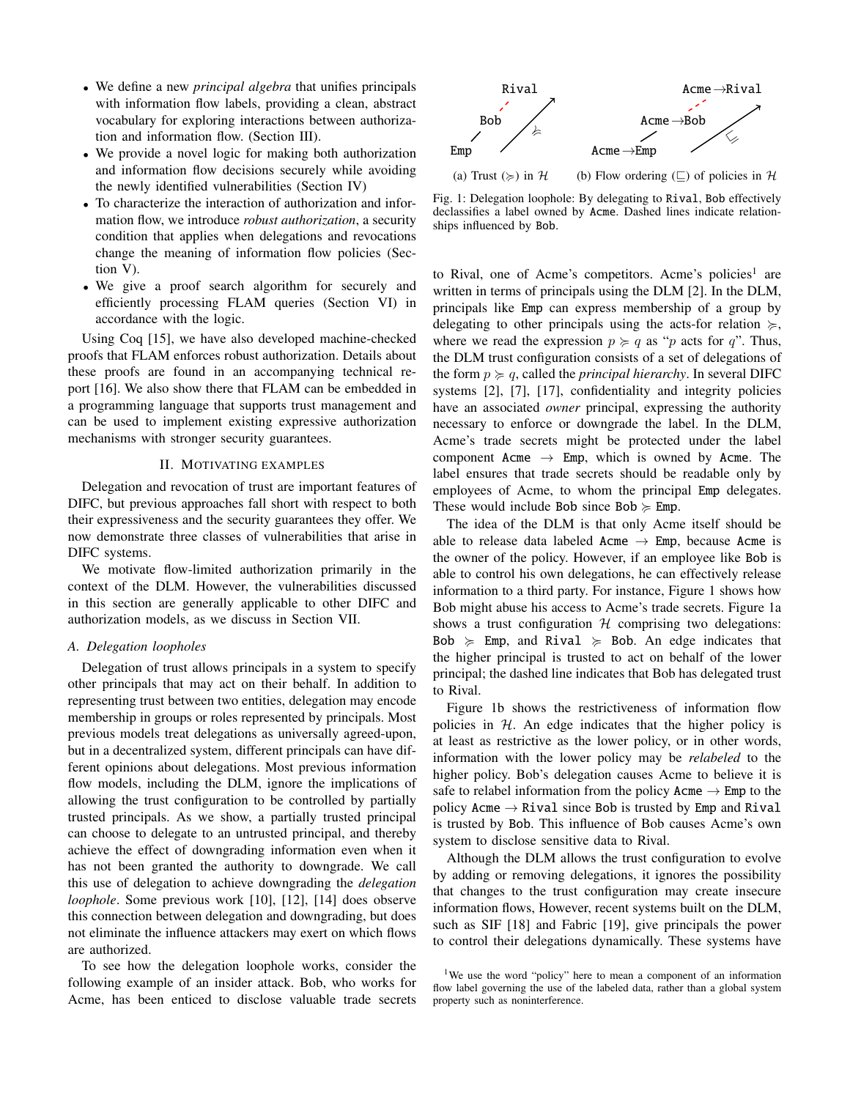- We define a new *principal algebra* that unifies principals with information flow labels, providing a clean, abstract vocabulary for exploring interactions between authorization and information flow. (Section [III\)](#page-3-0).
- We provide a novel logic for making both authorization and information flow decisions securely while avoiding the newly identified vulnerabilities (Section [IV\)](#page-5-0)
- To characterize the interaction of authorization and information flow, we introduce *robust authorization*, a security condition that applies when delegations and revocations change the meaning of information flow policies (Section [V\)](#page-9-0).
- We give a proof search algorithm for securely and efficiently processing FLAM queries (Section [VI\)](#page-10-0) in accordance with the logic.

Using Coq [\[15\]](#page-13-8), we have also developed machine-checked proofs that FLAM enforces robust authorization. Details about these proofs are found in an accompanying technical report [\[16\]](#page-13-9). We also show there that FLAM can be embedded in a programming language that supports trust management and can be used to implement existing expressive authorization mechanisms with stronger security guarantees.

## II. MOTIVATING EXAMPLES

<span id="page-1-0"></span>Delegation and revocation of trust are important features of DIFC, but previous approaches fall short with respect to both their expressiveness and the security guarantees they offer. We now demonstrate three classes of vulnerabilities that arise in DIFC systems.

We motivate flow-limited authorization primarily in the context of the DLM. However, the vulnerabilities discussed in this section are generally applicable to other DIFC and authorization models, as we discuss in Section [VII.](#page-11-0)

#### <span id="page-1-3"></span>*A. Delegation loopholes*

Delegation of trust allows principals in a system to specify other principals that may act on their behalf. In addition to representing trust between two entities, delegation may encode membership in groups or roles represented by principals. Most previous models treat delegations as universally agreed-upon, but in a decentralized system, different principals can have different opinions about delegations. Most previous information flow models, including the DLM, ignore the implications of allowing the trust configuration to be controlled by partially trusted principals. As we show, a partially trusted principal can choose to delegate to an untrusted principal, and thereby achieve the effect of downgrading information even when it has not been granted the authority to downgrade. We call this use of delegation to achieve downgrading the *delegation loophole*. Some previous work [\[10\]](#page-13-10), [\[12\]](#page-13-7), [\[14\]](#page-13-6) does observe this connection between delegation and downgrading, but does not eliminate the influence attackers may exert on which flows are authorized.

To see how the delegation loophole works, consider the following example of an insider attack. Bob, who works for Acme, has been enticed to disclose valuable trade secrets

<span id="page-1-2"></span>

(a) Trust  $(\ge)$  in H (b) Flow ordering  $(\sqsubseteq)$  of policies in H

Fig. 1: Delegation loophole: By delegating to Rival, Bob effectively declassifies a label owned by Acme. Dashed lines indicate relationships influenced by Bob.

to Rival, one of Acme's competitors. Acme's policies<sup>[1](#page-1-1)</sup> are written in terms of principals using the DLM [\[2\]](#page-13-1). In the DLM, principals like Emp can express membership of a group by delegating to other principals using the acts-for relation  $\succeq$ , where we read the expression  $p \succcurlyeq q$  as "p acts for q". Thus, the DLM trust configuration consists of a set of delegations of the form  $p \geq q$ , called the *principal hierarchy*. In several DIFC systems [\[2\]](#page-13-1), [\[7\]](#page-13-4), [\[17\]](#page-13-11), confidentiality and integrity policies have an associated *owner* principal, expressing the authority necessary to enforce or downgrade the label. In the DLM, Acme's trade secrets might be protected under the label component Acme  $\rightarrow$  Emp, which is owned by Acme. The label ensures that trade secrets should be readable only by employees of Acme, to whom the principal Emp delegates. These would include Bob since Bob  $\succeq$  Emp.

The idea of the DLM is that only Acme itself should be able to release data labeled Acme  $\rightarrow$  Emp, because Acme is the owner of the policy. However, if an employee like Bob is able to control his own delegations, he can effectively release information to a third party. For instance, Figure [1](#page-1-2) shows how Bob might abuse his access to Acme's trade secrets. Figure [1a](#page-1-2) shows a trust configuration  $H$  comprising two delegations: Bob  $\succeq$  Emp, and Rival  $\succeq$  Bob. An edge indicates that the higher principal is trusted to act on behalf of the lower principal; the dashed line indicates that Bob has delegated trust to Rival.

Figure [1b](#page-1-2) shows the restrictiveness of information flow policies in  $H$ . An edge indicates that the higher policy is at least as restrictive as the lower policy, or in other words, information with the lower policy may be *relabeled* to the higher policy. Bob's delegation causes Acme to believe it is safe to relabel information from the policy Acme  $\rightarrow$  Emp to the policy  $Acme \rightarrow Rival$  since Bob is trusted by Emp and Rival is trusted by Bob. This influence of Bob causes Acme's own system to disclose sensitive data to Rival.

Although the DLM allows the trust configuration to evolve by adding or removing delegations, it ignores the possibility that changes to the trust configuration may create insecure information flows, However, recent systems built on the DLM, such as SIF [\[18\]](#page-13-12) and Fabric [\[19\]](#page-13-13), give principals the power to control their delegations dynamically. These systems have

<span id="page-1-1"></span><sup>&</sup>lt;sup>1</sup>We use the word "policy" here to mean a component of an information flow label governing the use of the labeled data, rather than a global system property such as noninterference.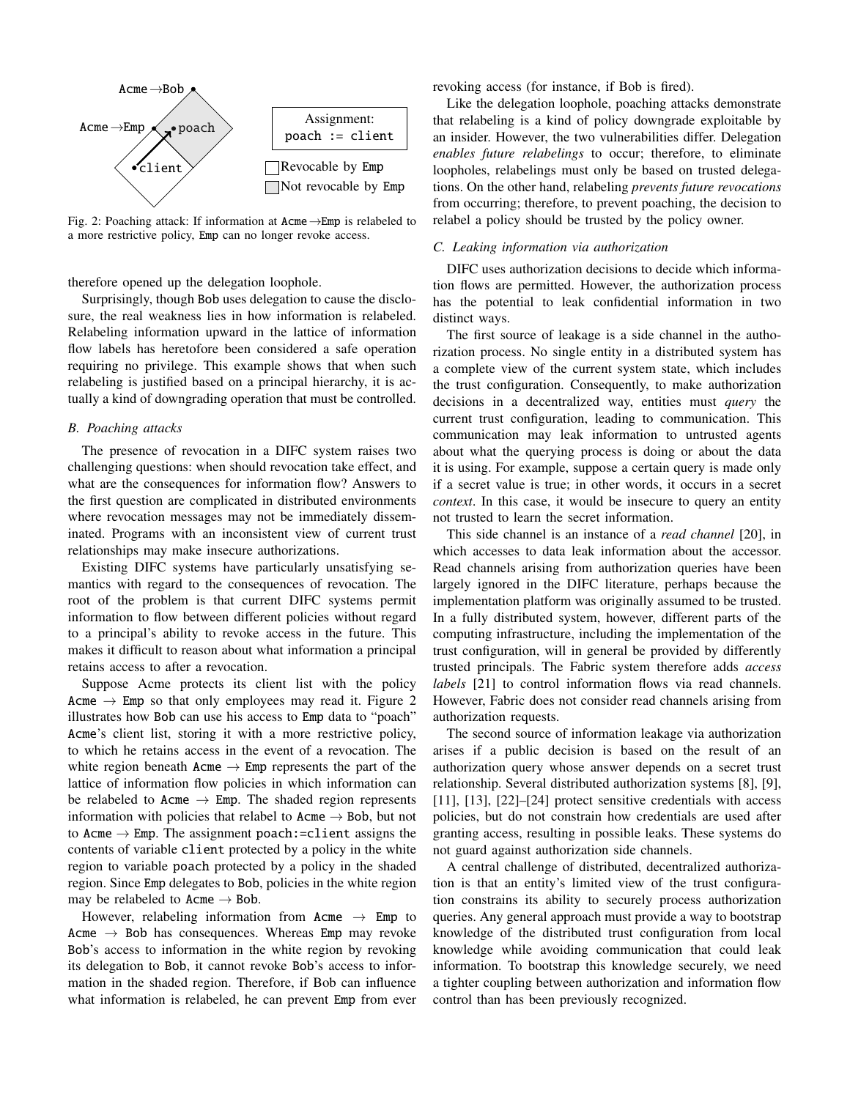<span id="page-2-0"></span>

Fig. 2: Poaching attack: If information at Acme→Emp is relabeled to a more restrictive policy, Emp can no longer revoke access.

therefore opened up the delegation loophole.

Surprisingly, though Bob uses delegation to cause the disclosure, the real weakness lies in how information is relabeled. Relabeling information upward in the lattice of information flow labels has heretofore been considered a safe operation requiring no privilege. This example shows that when such relabeling is justified based on a principal hierarchy, it is actually a kind of downgrading operation that must be controlled.

## <span id="page-2-1"></span>*B. Poaching attacks*

The presence of revocation in a DIFC system raises two challenging questions: when should revocation take effect, and what are the consequences for information flow? Answers to the first question are complicated in distributed environments where revocation messages may not be immediately disseminated. Programs with an inconsistent view of current trust relationships may make insecure authorizations.

Existing DIFC systems have particularly unsatisfying semantics with regard to the consequences of revocation. The root of the problem is that current DIFC systems permit information to flow between different policies without regard to a principal's ability to revoke access in the future. This makes it difficult to reason about what information a principal retains access to after a revocation.

Suppose Acme protects its client list with the policy Acme  $\rightarrow$  Emp so that only employees may read it. Figure [2](#page-2-0) illustrates how Bob can use his access to Emp data to "poach" Acme's client list, storing it with a more restrictive policy, to which he retains access in the event of a revocation. The white region beneath  $Acme \rightarrow Emp$  represents the part of the lattice of information flow policies in which information can be relabeled to Acme  $\rightarrow$  Emp. The shaded region represents information with policies that relabel to  $Acme \rightarrow Bob$ , but not to Acme  $\rightarrow$  Emp. The assignment poach:=client assigns the contents of variable client protected by a policy in the white region to variable poach protected by a policy in the shaded region. Since Emp delegates to Bob, policies in the white region may be relabeled to  $A$ cme  $\rightarrow$  Bob.

However, relabeling information from  $A$ cme  $\rightarrow$  Emp to Acme  $\rightarrow$  Bob has consequences. Whereas Emp may revoke Bob's access to information in the white region by revoking its delegation to Bob, it cannot revoke Bob's access to information in the shaded region. Therefore, if Bob can influence what information is relabeled, he can prevent Emp from ever revoking access (for instance, if Bob is fired).

Like the delegation loophole, poaching attacks demonstrate that relabeling is a kind of policy downgrade exploitable by an insider. However, the two vulnerabilities differ. Delegation *enables future relabelings* to occur; therefore, to eliminate loopholes, relabelings must only be based on trusted delegations. On the other hand, relabeling *prevents future revocations* from occurring; therefore, to prevent poaching, the decision to relabel a policy should be trusted by the policy owner.

#### <span id="page-2-2"></span>*C. Leaking information via authorization*

DIFC uses authorization decisions to decide which information flows are permitted. However, the authorization process has the potential to leak confidential information in two distinct ways.

The first source of leakage is a side channel in the authorization process. No single entity in a distributed system has a complete view of the current system state, which includes the trust configuration. Consequently, to make authorization decisions in a decentralized way, entities must *query* the current trust configuration, leading to communication. This communication may leak information to untrusted agents about what the querying process is doing or about the data it is using. For example, suppose a certain query is made only if a secret value is true; in other words, it occurs in a secret *context*. In this case, it would be insecure to query an entity not trusted to learn the secret information.

This side channel is an instance of a *read channel* [\[20\]](#page-13-14), in which accesses to data leak information about the accessor. Read channels arising from authorization queries have been largely ignored in the DIFC literature, perhaps because the implementation platform was originally assumed to be trusted. In a fully distributed system, however, different parts of the computing infrastructure, including the implementation of the trust configuration, will in general be provided by differently trusted principals. The Fabric system therefore adds *access labels* [\[21\]](#page-13-15) to control information flows via read channels. However, Fabric does not consider read channels arising from authorization requests.

The second source of information leakage via authorization arises if a public decision is based on the result of an authorization query whose answer depends on a secret trust relationship. Several distributed authorization systems [\[8\]](#page-13-5), [\[9\]](#page-13-16), [\[11\]](#page-13-17), [\[13\]](#page-13-18), [\[22\]](#page-13-19)–[\[24\]](#page-13-20) protect sensitive credentials with access policies, but do not constrain how credentials are used after granting access, resulting in possible leaks. These systems do not guard against authorization side channels.

A central challenge of distributed, decentralized authorization is that an entity's limited view of the trust configuration constrains its ability to securely process authorization queries. Any general approach must provide a way to bootstrap knowledge of the distributed trust configuration from local knowledge while avoiding communication that could leak information. To bootstrap this knowledge securely, we need a tighter coupling between authorization and information flow control than has been previously recognized.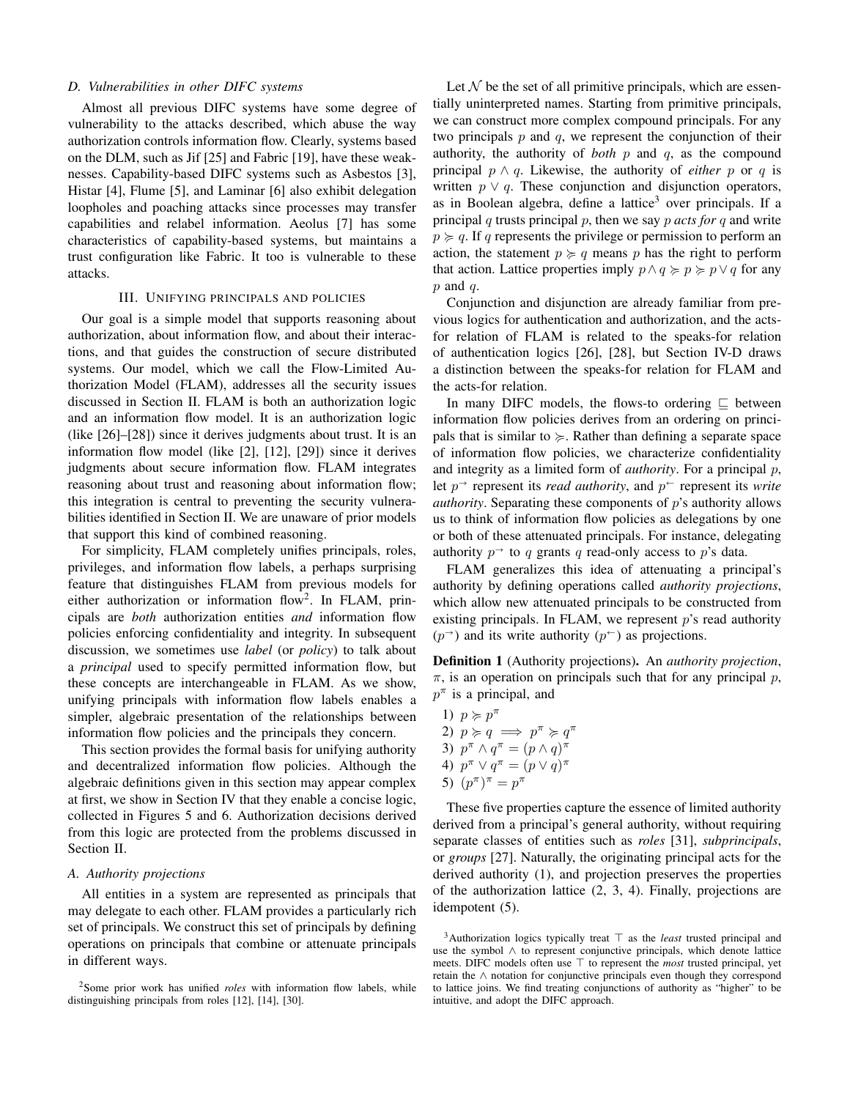## *D. Vulnerabilities in other DIFC systems*

Almost all previous DIFC systems have some degree of vulnerability to the attacks described, which abuse the way authorization controls information flow. Clearly, systems based on the DLM, such as Jif [\[25\]](#page-13-21) and Fabric [\[19\]](#page-13-13), have these weaknesses. Capability-based DIFC systems such as Asbestos [\[3\]](#page-13-2), Histar [\[4\]](#page-13-22), Flume [\[5\]](#page-13-23), and Laminar [\[6\]](#page-13-3) also exhibit delegation loopholes and poaching attacks since processes may transfer capabilities and relabel information. Aeolus [\[7\]](#page-13-4) has some characteristics of capability-based systems, but maintains a trust configuration like Fabric. It too is vulnerable to these attacks.

## III. UNIFYING PRINCIPALS AND POLICIES

<span id="page-3-0"></span>Our goal is a simple model that supports reasoning about authorization, about information flow, and about their interactions, and that guides the construction of secure distributed systems. Our model, which we call the Flow-Limited Authorization Model (FLAM), addresses all the security issues discussed in Section [II.](#page-1-0) FLAM is both an authorization logic and an information flow model. It is an authorization logic (like [\[26\]](#page-13-24)–[\[28\]](#page-13-25)) since it derives judgments about trust. It is an information flow model (like [\[2\]](#page-13-1), [\[12\]](#page-13-7), [\[29\]](#page-13-26)) since it derives judgments about secure information flow. FLAM integrates reasoning about trust and reasoning about information flow; this integration is central to preventing the security vulnerabilities identified in Section [II.](#page-1-0) We are unaware of prior models that support this kind of combined reasoning.

For simplicity, FLAM completely unifies principals, roles, privileges, and information flow labels, a perhaps surprising feature that distinguishes FLAM from previous models for either authorization or information flow<sup>[2](#page-3-1)</sup>. In FLAM, principals are *both* authorization entities *and* information flow policies enforcing confidentiality and integrity. In subsequent discussion, we sometimes use *label* (or *policy*) to talk about a *principal* used to specify permitted information flow, but these concepts are interchangeable in FLAM. As we show, unifying principals with information flow labels enables a simpler, algebraic presentation of the relationships between information flow policies and the principals they concern.

This section provides the formal basis for unifying authority and decentralized information flow policies. Although the algebraic definitions given in this section may appear complex at first, we show in Section [IV](#page-5-0) that they enable a concise logic, collected in Figures [5](#page-8-0) and [6.](#page-8-1) Authorization decisions derived from this logic are protected from the problems discussed in Section [II.](#page-1-0)

#### *A. Authority projections*

All entities in a system are represented as principals that may delegate to each other. FLAM provides a particularly rich set of principals. We construct this set of principals by defining operations on principals that combine or attenuate principals in different ways.

Let  $N$  be the set of all primitive principals, which are essentially uninterpreted names. Starting from primitive principals, we can construct more complex compound principals. For any two principals  $p$  and  $q$ , we represent the conjunction of their authority, the authority of *both*  $p$  and  $q$ , as the compound principal  $p \wedge q$ . Likewise, the authority of *either* p or q is written  $p \vee q$ . These conjunction and disjunction operators, as in Boolean algebra, define a lattice<sup>[3](#page-3-2)</sup> over principals. If a principal q trusts principal p, then we say p *acts for* q and write  $p \geq q$ . If q represents the privilege or permission to perform an action, the statement  $p \geq q$  means p has the right to perform that action. Lattice properties imply  $p \wedge q \geqslant p \geqslant p \vee q$  for any  $p$  and  $q$ .

Conjunction and disjunction are already familiar from previous logics for authentication and authorization, and the actsfor relation of FLAM is related to the speaks-for relation of authentication logics [\[26\]](#page-13-24), [\[28\]](#page-13-25), but Section [IV-D](#page-7-0) draws a distinction between the speaks-for relation for FLAM and the acts-for relation.

In many DIFC models, the flows-to ordering  $\subseteq$  between information flow policies derives from an ordering on principals that is similar to  $\succeq$ . Rather than defining a separate space of information flow policies, we characterize confidentiality and integrity as a limited form of *authority*. For a principal p, let  $p^{\rightarrow}$  represent its *read authority*, and  $p^{\leftarrow}$  represent its *write authority*. Separating these components of p's authority allows us to think of information flow policies as delegations by one or both of these attenuated principals. For instance, delegating authority  $p^{\rightarrow}$  to q grants q read-only access to p's data.

FLAM generalizes this idea of attenuating a principal's authority by defining operations called *authority projections*, which allow new attenuated principals to be constructed from existing principals. In FLAM, we represent  $p$ 's read authority  $(p^{\rightarrow})$  and its write authority  $(p^{\leftarrow})$  as projections.

Definition 1 (Authority projections). An *authority projection*,  $\pi$ , is an operation on principals such that for any principal p,  $p^{\pi}$  is a principal, and

<span id="page-3-5"></span><span id="page-3-4"></span><span id="page-3-3"></span>1)  $p \succcurlyeq p^{\pi}$ 2)  $p \succcurlyeq q \implies p^{\pi} \succcurlyeq q^{\pi}$ 3)  $p^{\pi} \wedge q^{\pi} = (p \wedge q)^{\pi}$ 4)  $p^{\pi} \vee q^{\pi} = (p \vee q)^{\pi}$ 5)  $(p^{\pi})^{\pi} = p^{\pi}$ 

<span id="page-3-7"></span><span id="page-3-6"></span>These five properties capture the essence of limited authority derived from a principal's general authority, without requiring separate classes of entities such as *roles* [\[31\]](#page-13-28), *subprincipals*, or *groups* [\[27\]](#page-13-29). Naturally, the originating principal acts for the derived authority [\(1\)](#page-3-3), and projection preserves the properties of the authorization lattice [\(2,](#page-3-4) [3,](#page-3-5) [4\)](#page-3-6). Finally, projections are idempotent [\(5\)](#page-3-7).

<span id="page-3-1"></span><sup>2</sup>Some prior work has unified *roles* with information flow labels, while distinguishing principals from roles [\[12\]](#page-13-7), [\[14\]](#page-13-6), [\[30\]](#page-13-27).

<span id="page-3-2"></span><sup>&</sup>lt;sup>3</sup>Authorization logics typically treat  $\top$  as the *least* trusted principal and use the symbol ∧ to represent conjunctive principals, which denote lattice meets. DIFC models often use  $\top$  to represent the *most* trusted principal, yet retain the ∧ notation for conjunctive principals even though they correspond to lattice joins. We find treating conjunctions of authority as "higher" to be intuitive, and adopt the DIFC approach.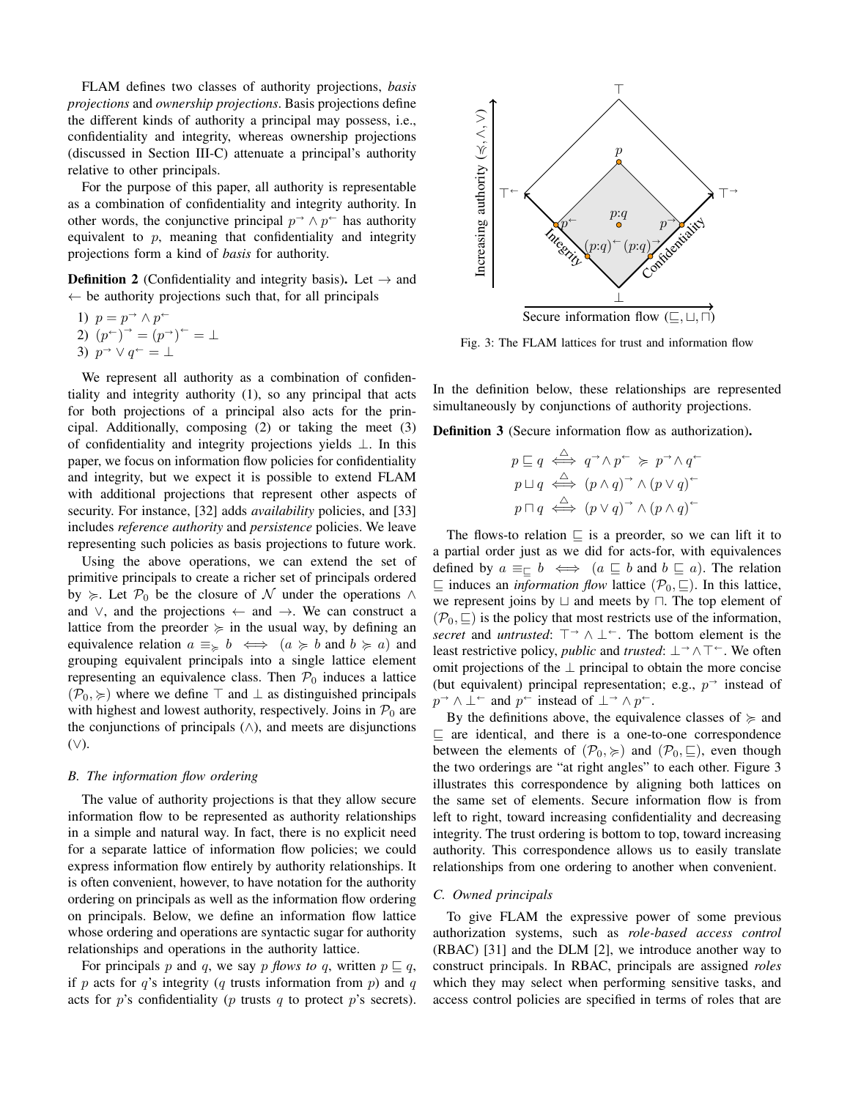FLAM defines two classes of authority projections, *basis projections* and *ownership projections*. Basis projections define the different kinds of authority a principal may possess, i.e., confidentiality and integrity, whereas ownership projections (discussed in Section [III-C\)](#page-4-0) attenuate a principal's authority relative to other principals.

For the purpose of this paper, all authority is representable as a combination of confidentiality and integrity authority. In other words, the conjunctive principal  $p \rightarrow \wedge p^{\leftarrow}$  has authority equivalent to  $p$ , meaning that confidentiality and integrity projections form a kind of *basis* for authority.

**Definition 2** (Confidentiality and integrity basis). Let  $\rightarrow$  and  $\leftarrow$  be authority projections such that, for all principals

- <span id="page-4-2"></span><span id="page-4-1"></span>1)  $p = p^{\rightarrow} \wedge p^{\leftarrow}$ 2)  $(p^{\leftarrow})^{\rightarrow} = (p^{\rightarrow})^{\leftarrow} = \perp$
- <span id="page-4-3"></span>3)  $p \rightarrow \vee q^{\leftarrow} = \perp$

We represent all authority as a combination of confidentiality and integrity authority [\(1\)](#page-4-1), so any principal that acts for both projections of a principal also acts for the principal. Additionally, composing [\(2\)](#page-4-2) or taking the meet [\(3\)](#page-4-3) of confidentiality and integrity projections yields ⊥. In this paper, we focus on information flow policies for confidentiality and integrity, but we expect it is possible to extend FLAM with additional projections that represent other aspects of security. For instance, [\[32\]](#page-13-30) adds *availability* policies, and [\[33\]](#page-13-31) includes *reference authority* and *persistence* policies. We leave representing such policies as basis projections to future work.

Using the above operations, we can extend the set of primitive principals to create a richer set of principals ordered by  $\succcurlyeq$ . Let  $\mathcal{P}_0$  be the closure of N under the operations  $\wedge$ and  $\vee$ , and the projections  $\leftarrow$  and  $\rightarrow$ . We can construct a lattice from the preorder  $\succeq$  in the usual way, by defining an equivalence relation  $a \equiv_{\succcurlyeq} b \iff (a \succcurlyeq b \text{ and } b \succcurlyeq a)$  and grouping equivalent principals into a single lattice element representing an equivalence class. Then  $P_0$  induces a lattice  $(\mathcal{P}_0, \succcurlyeq)$  where we define  $\top$  and  $\bot$  as distinguished principals with highest and lowest authority, respectively. Joins in  $P_0$  are the conjunctions of principals  $(∧)$ , and meets are disjunctions (∨).

# *B. The information flow ordering*

The value of authority projections is that they allow secure information flow to be represented as authority relationships in a simple and natural way. In fact, there is no explicit need for a separate lattice of information flow policies; we could express information flow entirely by authority relationships. It is often convenient, however, to have notation for the authority ordering on principals as well as the information flow ordering on principals. Below, we define an information flow lattice whose ordering and operations are syntactic sugar for authority relationships and operations in the authority lattice.

For principals p and q, we say p *flows to* q, written  $p \sqsubseteq q$ , if p acts for  $q$ 's integrity (q trusts information from p) and q acts for  $p$ 's confidentiality ( $p$  trusts  $q$  to protect  $p$ 's secrets).

<span id="page-4-4"></span>

Fig. 3: The FLAM lattices for trust and information flow

In the definition below, these relationships are represented simultaneously by conjunctions of authority projections.

Definition 3 (Secure information flow as authorization).

$$
p \sqsubseteq q \iff q^{\rightarrow} \land p^{\leftarrow} \succcurlyeq p^{\rightarrow} \land q^{\leftarrow}
$$

$$
p \sqcup q \iff (p \land q)^{\rightarrow} \land (p \lor q)^{\leftarrow}
$$

$$
p \sqcap q \iff (p \lor q)^{\rightarrow} \land (p \land q)^{\leftarrow}
$$

The flows-to relation  $\subseteq$  is a preorder, so we can lift it to a partial order just as we did for acts-for, with equivalences defined by  $a \equiv_{\square} b \iff (a \sqsubseteq b \text{ and } b \sqsubseteq a)$ . The relation  $\subseteq$  induces an *information flow* lattice ( $\mathcal{P}_0$ ,  $\subseteq$ ). In this lattice, we represent joins by  $\sqcup$  and meets by  $\sqcap$ . The top element of  $(\mathcal{P}_0, \subseteq)$  is the policy that most restricts use of the information, *secret* and *untrusted*:  $\top^{\rightarrow} \wedge \bot^{\leftarrow}$ . The bottom element is the least restrictive policy, *public* and *trusted*: ⊥<sup>→</sup>  $\wedge$  T<sup>←</sup>. We often omit projections of the  $\perp$  principal to obtain the more concise (but equivalent) principal representation; e.g.,  $p^{\rightarrow}$  instead of  $p \rightarrow \wedge \perp^{\leftarrow}$  and  $p \leftarrow$  instead of  $\perp \rightarrow \wedge p^{\leftarrow}$ .

By the definitions above, the equivalence classes of  $\succeq$  and  $\sqsubseteq$  are identical, and there is a one-to-one correspondence between the elements of  $(\mathcal{P}_0, \geq)$  and  $(\mathcal{P}_0, \subseteq)$ , even though the two orderings are "at right angles" to each other. Figure [3](#page-4-4) illustrates this correspondence by aligning both lattices on the same set of elements. Secure information flow is from left to right, toward increasing confidentiality and decreasing integrity. The trust ordering is bottom to top, toward increasing authority. This correspondence allows us to easily translate relationships from one ordering to another when convenient.

## <span id="page-4-0"></span>*C. Owned principals*

To give FLAM the expressive power of some previous authorization systems, such as *role-based access control* (RBAC) [\[31\]](#page-13-28) and the DLM [\[2\]](#page-13-1), we introduce another way to construct principals. In RBAC, principals are assigned *roles* which they may select when performing sensitive tasks, and access control policies are specified in terms of roles that are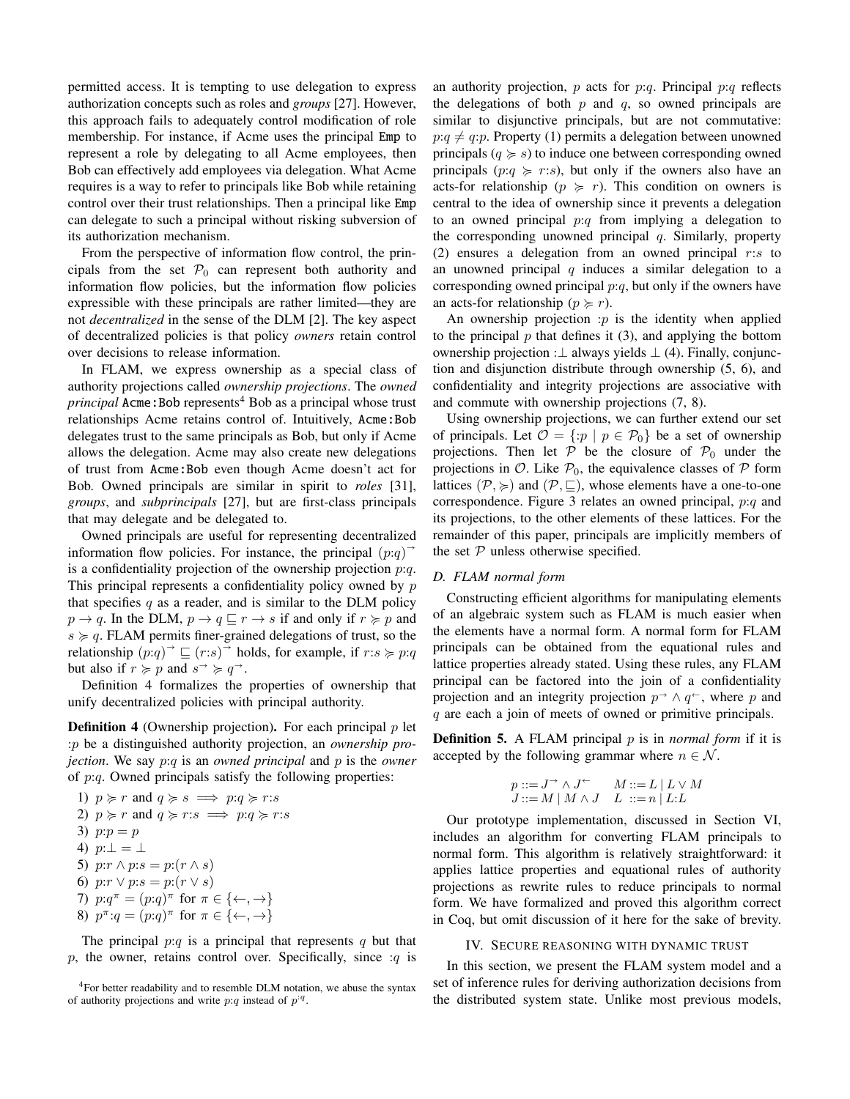permitted access. It is tempting to use delegation to express authorization concepts such as roles and *groups* [\[27\]](#page-13-29). However, this approach fails to adequately control modification of role membership. For instance, if Acme uses the principal Emp to represent a role by delegating to all Acme employees, then Bob can effectively add employees via delegation. What Acme requires is a way to refer to principals like Bob while retaining control over their trust relationships. Then a principal like Emp can delegate to such a principal without risking subversion of its authorization mechanism.

From the perspective of information flow control, the principals from the set  $\mathcal{P}_0$  can represent both authority and information flow policies, but the information flow policies expressible with these principals are rather limited—they are not *decentralized* in the sense of the DLM [\[2\]](#page-13-1). The key aspect of decentralized policies is that policy *owners* retain control over decisions to release information.

In FLAM, we express ownership as a special class of authority projections called *ownership projections*. The *owned principal* Acme: Bob represents<sup>[4](#page-5-1)</sup> Bob as a principal whose trust relationships Acme retains control of. Intuitively, Acme:Bob delegates trust to the same principals as Bob, but only if Acme allows the delegation. Acme may also create new delegations of trust from Acme:Bob even though Acme doesn't act for Bob. Owned principals are similar in spirit to *roles* [\[31\]](#page-13-28), *groups*, and *subprincipals* [\[27\]](#page-13-29), but are first-class principals that may delegate and be delegated to.

Owned principals are useful for representing decentralized information flow policies. For instance, the principal  $(p:q)$ <sup> $\rightarrow$ </sup> is a confidentiality projection of the ownership projection  $p:q$ . This principal represents a confidentiality policy owned by p that specifies  $q$  as a reader, and is similar to the DLM policy  $p \to q$ . In the DLM,  $p \to q \sqsubseteq r \to s$  if and only if  $r \succcurlyeq p$  and  $s \geq q$ . FLAM permits finer-grained delegations of trust, so the relationship  $(p:q)^{\rightarrow} \sqsubseteq (r:s)^{\rightarrow}$  holds, for example, if  $r:s \succcurlyeq p:q$ but also if  $r \succcurlyeq p$  and  $s \rightarrow \succcurlyeq q \rightarrow$ .

Definition [4](#page-5-2) formalizes the properties of ownership that unify decentralized policies with principal authority.

<span id="page-5-2"></span>**Definition 4** (Ownership projection). For each principal  $p$  let :p be a distinguished authority projection, an *ownership projection*. We say p:q is an *owned principal* and p is the *owner* of p:q. Owned principals satisfy the following properties:

<span id="page-5-7"></span><span id="page-5-6"></span><span id="page-5-5"></span><span id="page-5-4"></span><span id="page-5-3"></span>1) 
$$
p \succ r
$$
 and  $q \succ s \implies p:q \succ r:s$   
\n2)  $p \succ r$  and  $q \succ r:s \implies p:q \succ r:s$   
\n3)  $p: p = p$   
\n4)  $p: \perp = \perp$   
\n5)  $p:r \wedge p:s = p:(r \wedge s)$   
\n6)  $p:r \vee p:s = p:(r \vee s)$   
\n7)  $p:q^{\pi} = (p:q)^{\pi}$  for  $\pi \in \{\leftarrow, \rightarrow\}$   
\n8)  $p^{\pi}:q = (p:q)^{\pi}$  for  $\pi \in \{\leftarrow, \rightarrow\}$ 

<span id="page-5-10"></span><span id="page-5-9"></span><span id="page-5-8"></span>The principal  $p:q$  is a principal that represents q but that p, the owner, retains control over. Specifically, since  $:q$  is an authority projection,  $p$  acts for  $p:q$ . Principal  $p:q$  reflects the delegations of both  $p$  and  $q$ , so owned principals are similar to disjunctive principals, but are not commutative:  $p:q \neq q: p$ . Property [\(1\)](#page-5-3) permits a delegation between unowned principals ( $q \ge s$ ) to induce one between corresponding owned principals ( $p:q \ge r: s$ ), but only if the owners also have an acts-for relationship ( $p \ge r$ ). This condition on owners is central to the idea of ownership since it prevents a delegation to an owned principal  $p:q$  from implying a delegation to the corresponding unowned principal  $q$ . Similarly, property [\(2\)](#page-5-4) ensures a delegation from an owned principal r:s to an unowned principal  $q$  induces a similar delegation to a corresponding owned principal  $p:q$ , but only if the owners have an acts-for relationship ( $p \ge r$ ).

An ownership projection  $:p$  is the identity when applied to the principal  $p$  that defines it [\(3\)](#page-5-5), and applying the bottom ownership projection : $\perp$  always yields  $\perp$  [\(4\)](#page-5-6). Finally, conjunction and disjunction distribute through ownership [\(5,](#page-5-7) [6\)](#page-5-8), and confidentiality and integrity projections are associative with and commute with ownership projections [\(7,](#page-5-9) [8\)](#page-5-10).

Using ownership projections, we can further extend our set of principals. Let  $\mathcal{O} = \{ : p \mid p \in \mathcal{P}_0 \}$  be a set of ownership projections. Then let  $P$  be the closure of  $P_0$  under the projections in  $\mathcal{O}$ . Like  $\mathcal{P}_0$ , the equivalence classes of  $\mathcal P$  form lattices  $(\mathcal{P}, \geq)$  and  $(\mathcal{P}, \sqsubseteq)$ , whose elements have a one-to-one correspondence. Figure [3](#page-4-4) relates an owned principal, p:q and its projections, to the other elements of these lattices. For the remainder of this paper, principals are implicitly members of the set  $P$  unless otherwise specified.

#### *D. FLAM normal form*

Constructing efficient algorithms for manipulating elements of an algebraic system such as FLAM is much easier when the elements have a normal form. A normal form for FLAM principals can be obtained from the equational rules and lattice properties already stated. Using these rules, any FLAM principal can be factored into the join of a confidentiality projection and an integrity projection  $p \rightarrow \wedge q^{-}$ , where p and q are each a join of meets of owned or primitive principals.

**Definition 5.** A FLAM principal p is in *normal form* if it is accepted by the following grammar where  $n \in \mathcal{N}$ .

$$
\begin{array}{l} p::=J^{\rightarrow}\wedge J^{\leftarrow} \qquad M::=L\mid L\vee M \\ J::=M\mid M\wedge J \quad \ L\ ::= n\mid L:L \end{array}
$$

Our prototype implementation, discussed in Section [VI,](#page-10-0) includes an algorithm for converting FLAM principals to normal form. This algorithm is relatively straightforward: it applies lattice properties and equational rules of authority projections as rewrite rules to reduce principals to normal form. We have formalized and proved this algorithm correct in Coq, but omit discussion of it here for the sake of brevity.

## IV. SECURE REASONING WITH DYNAMIC TRUST

<span id="page-5-0"></span>In this section, we present the FLAM system model and a set of inference rules for deriving authorization decisions from the distributed system state. Unlike most previous models,

<span id="page-5-1"></span><sup>&</sup>lt;sup>4</sup>For better readability and to resemble DLM notation, we abuse the syntax of authority projections and write  $p:q$  instead of  $p:q$ .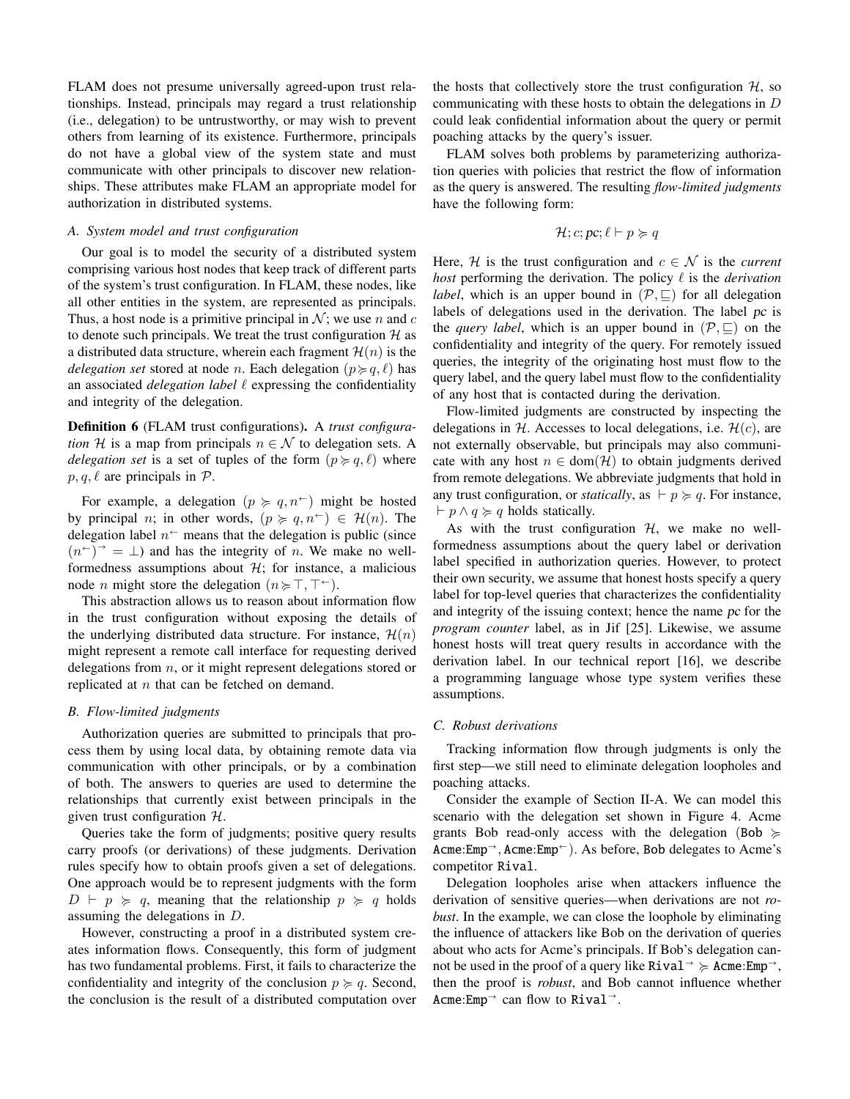FLAM does not presume universally agreed-upon trust relationships. Instead, principals may regard a trust relationship (i.e., delegation) to be untrustworthy, or may wish to prevent others from learning of its existence. Furthermore, principals do not have a global view of the system state and must communicate with other principals to discover new relationships. These attributes make FLAM an appropriate model for authorization in distributed systems.

# *A. System model and trust configuration*

Our goal is to model the security of a distributed system comprising various host nodes that keep track of different parts of the system's trust configuration. In FLAM, these nodes, like all other entities in the system, are represented as principals. Thus, a host node is a primitive principal in  $N$ ; we use n and c to denote such principals. We treat the trust configuration  $H$  as a distributed data structure, wherein each fragment  $\mathcal{H}(n)$  is the *delegation set* stored at node *n*. Each delegation  $(p \succcurlyeq q, \ell)$  has an associated *delegation label*  $\ell$  expressing the confidentiality and integrity of the delegation.

Definition 6 (FLAM trust configurations). A *trust configuration* H is a map from principals  $n \in \mathcal{N}$  to delegation sets. A *delegation set* is a set of tuples of the form  $(p \geq q, \ell)$  where  $p, q, \ell$  are principals in  $\mathcal{P}$ .

For example, a delegation  $(p \geq q, n^{\leftarrow})$  might be hosted by principal n; in other words,  $(p \ge q, n^{\leftarrow}) \in \mathcal{H}(n)$ . The delegation label  $n<sup>+</sup>$  means that the delegation is public (since  $(n<sup>\leftarrow</sup>)$ <sup>→</sup> =  $\perp$ ) and has the integrity of *n*. We make no wellformedness assumptions about  $H$ ; for instance, a malicious node *n* might store the delegation  $(n \geq \top, \top^{\leftarrow})$ .

This abstraction allows us to reason about information flow in the trust configuration without exposing the details of the underlying distributed data structure. For instance,  $\mathcal{H}(n)$ might represent a remote call interface for requesting derived delegations from  $n$ , or it might represent delegations stored or replicated at  $n$  that can be fetched on demand.

# *B. Flow-limited judgments*

Authorization queries are submitted to principals that process them by using local data, by obtaining remote data via communication with other principals, or by a combination of both. The answers to queries are used to determine the relationships that currently exist between principals in the given trust configuration  $H$ .

Queries take the form of judgments; positive query results carry proofs (or derivations) of these judgments. Derivation rules specify how to obtain proofs given a set of delegations. One approach would be to represent judgments with the form  $D \vdash p \ge q$ , meaning that the relationship  $p \ge q$  holds assuming the delegations in D.

However, constructing a proof in a distributed system creates information flows. Consequently, this form of judgment has two fundamental problems. First, it fails to characterize the confidentiality and integrity of the conclusion  $p \succcurlyeq q$ . Second, the conclusion is the result of a distributed computation over the hosts that collectively store the trust configuration  $H$ , so communicating with these hosts to obtain the delegations in D could leak confidential information about the query or permit poaching attacks by the query's issuer.

FLAM solves both problems by parameterizing authorization queries with policies that restrict the flow of information as the query is answered. The resulting *flow-limited judgments* have the following form:

$$
\mathcal{H}; c; pc; \ell \vdash p \succcurlyeq q
$$

Here, H is the trust configuration and  $c \in \mathcal{N}$  is the *current host* performing the derivation. The policy  $\ell$  is the *derivation label*, which is an upper bound in  $(\mathcal{P}, \sqsubseteq)$  for all delegation labels of delegations used in the derivation. The label pc is the *query label*, which is an upper bound in  $(\mathcal{P}, \sqsubseteq)$  on the confidentiality and integrity of the query. For remotely issued queries, the integrity of the originating host must flow to the query label, and the query label must flow to the confidentiality of any host that is contacted during the derivation.

Flow-limited judgments are constructed by inspecting the delegations in H. Accesses to local delegations, i.e.  $\mathcal{H}(c)$ , are not externally observable, but principals may also communicate with any host  $n \in \text{dom}(\mathcal{H})$  to obtain judgments derived from remote delegations. We abbreviate judgments that hold in any trust configuration, or *statically*, as  $\vdash p \succcurlyeq q$ . For instance,  $\vdash p \land q \succcurlyeq q$  holds statically.

As with the trust configuration  $H$ , we make no wellformedness assumptions about the query label or derivation label specified in authorization queries. However, to protect their own security, we assume that honest hosts specify a query label for top-level queries that characterizes the confidentiality and integrity of the issuing context; hence the name pc for the *program counter* label, as in Jif [\[25\]](#page-13-21). Likewise, we assume honest hosts will treat query results in accordance with the derivation label. In our technical report [\[16\]](#page-13-9), we describe a programming language whose type system verifies these assumptions.

## *C. Robust derivations*

Tracking information flow through judgments is only the first step—we still need to eliminate delegation loopholes and poaching attacks.

Consider the example of Section [II-A.](#page-1-3) We can model this scenario with the delegation set shown in Figure [4.](#page-7-1) Acme grants Bob read-only access with the delegation (Bob  $\succeq$  $A\text{cme:Emp}^{\rightarrow}$ ,  $A\text{cme:Emp}^{\leftarrow}$ ). As before, Bob delegates to Acme's competitor Rival.

Delegation loopholes arise when attackers influence the derivation of sensitive queries—when derivations are not *robust*. In the example, we can close the loophole by eliminating the influence of attackers like Bob on the derivation of queries about who acts for Acme's principals. If Bob's delegation cannot be used in the proof of a query like Rival<sup> $\rightarrow \geq$ </sup> Acme: Emp<sup> $\rightarrow$ </sup>, then the proof is *robust*, and Bob cannot influence whether Acme:Emp<sup>→</sup> can flow to Rival<sup>→</sup>.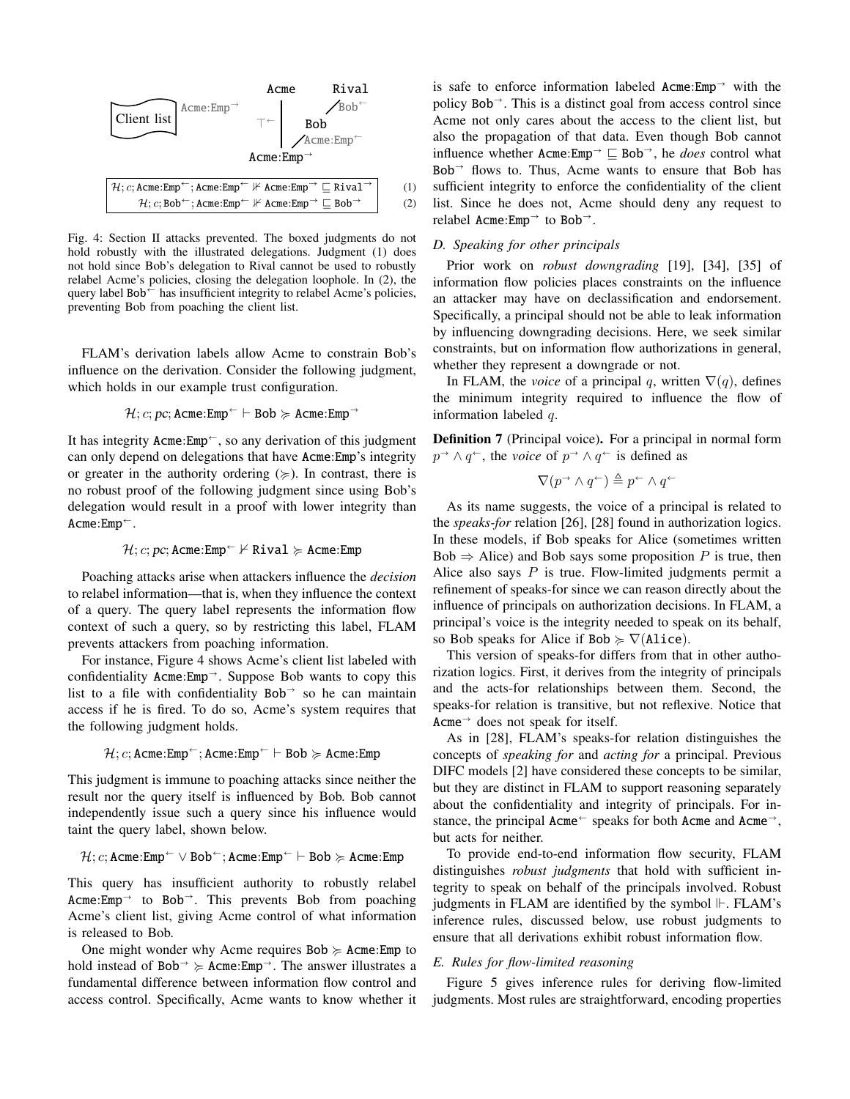<span id="page-7-1"></span>

Fig. 4: Section [II](#page-1-0) attacks prevented. The boxed judgments do not hold robustly with the illustrated delegations. Judgment [\(1\)](#page-7-2) does not hold since Bob's delegation to Rival cannot be used to robustly relabel Acme's policies, closing the delegation loophole. In [\(2\)](#page-7-3), the query label Bob<sup> $\leftarrow$ </sup> has insufficient integrity to relabel Acme's policies, preventing Bob from poaching the client list.

FLAM's derivation labels allow Acme to constrain Bob's influence on the derivation. Consider the following judgment, which holds in our example trust configuration.

$$
\mathcal{H}; c; pc; \texttt{Acme:Emp} \vdash \texttt{Bob} \succcurlyeq \texttt{Acme:Emp} \vdash
$$

It has integrity Acme:Emp<sup>←</sup>, so any derivation of this judgment can only depend on delegations that have Acme:Emp's integrity or greater in the authority ordering  $(\geq)$ . In contrast, there is no robust proof of the following judgment since using Bob's delegation would result in a proof with lower integrity than Acme:Emp<sup>←</sup>.

# $\mathcal{H}$ ; c; pc; Acme:Emp<sup>←</sup>  $\nvdash$  Rival  $\succcurlyeq$  Acme:Emp

Poaching attacks arise when attackers influence the *decision* to relabel information—that is, when they influence the context of a query. The query label represents the information flow context of such a query, so by restricting this label, FLAM prevents attackers from poaching information.

For instance, Figure [4](#page-7-1) shows Acme's client list labeled with confidentiality  $A$ cme:Emp<sup>→</sup>. Suppose Bob wants to copy this list to a file with confidentiality  $Bob^{\rightarrow}$  so he can maintain access if he is fired. To do so, Acme's system requires that the following judgment holds.

$$
\mathcal{H}; c; \texttt{Acme:Emp}^{\leftarrow}; \texttt{Acme:Emp}^{\leftarrow} \vdash \texttt{Bob} \succcurlyeq \texttt{Acme:Emp}
$$

This judgment is immune to poaching attacks since neither the result nor the query itself is influenced by Bob. Bob cannot independently issue such a query since his influence would taint the query label, shown below.

$$
\mathcal{H}; c; \texttt{Acme:Emp} \hookrightarrow \texttt{Bob}^{\leftarrow}; \texttt{Acme:Emp}^{\leftarrow} \vdash \texttt{Bob} \succcurlyeq \texttt{Acme:Emp}
$$

This query has insufficient authority to robustly relabel  $A$ cme:Emp<sup>→</sup> to Bob<sup>→</sup>. This prevents Bob from poaching Acme's client list, giving Acme control of what information is released to Bob.

One might wonder why Acme requires  $Bob \geq A$ cme: Emp to hold instead of Bob<sup>→</sup>  $\succcurlyeq$  Acme:Emp<sup>→</sup>. The answer illustrates a fundamental difference between information flow control and access control. Specifically, Acme wants to know whether it

is safe to enforce information labeled  $Acme:Emp \rightarrow with the$ policy Bob<sup> $\rightarrow$ </sup>. This is a distinct goal from access control since Acme not only cares about the access to the client list, but also the propagation of that data. Even though Bob cannot influence whether  $Acme:Emp^{\rightarrow} \sqsubseteq Bob^{\rightarrow}$ , he *does* control what Bob<sup> $\rightarrow$ </sup> flows to. Thus, Acme wants to ensure that Bob has sufficient integrity to enforce the confidentiality of the client list. Since he does not, Acme should deny any request to relabel Acme: $Emp^{\rightarrow}$  to Bob<sup> $\rightarrow$ </sup>.

## <span id="page-7-3"></span><span id="page-7-2"></span><span id="page-7-0"></span>*D. Speaking for other principals*

Prior work on *robust downgrading* [\[19\]](#page-13-13), [\[34\]](#page-13-32), [\[35\]](#page-13-33) of information flow policies places constraints on the influence an attacker may have on declassification and endorsement. Specifically, a principal should not be able to leak information by influencing downgrading decisions. Here, we seek similar constraints, but on information flow authorizations in general, whether they represent a downgrade or not.

In FLAM, the *voice* of a principal q, written  $\nabla(q)$ , defines the minimum integrity required to influence the flow of information labeled q.

Definition 7 (Principal voice). For a principal in normal form  $p^{\rightarrow} \wedge q^{\leftarrow}$ , the *voice* of  $p^{\rightarrow} \wedge q^{\leftarrow}$  is defined as

$$
\nabla(p^{\rightarrow}\wedge q^{\leftarrow})\triangleq p^{\leftarrow}\wedge q^{\leftarrow}
$$

As its name suggests, the voice of a principal is related to the *speaks-for* relation [\[26\]](#page-13-24), [\[28\]](#page-13-25) found in authorization logics. In these models, if Bob speaks for Alice (sometimes written Bob  $\Rightarrow$  Alice) and Bob says some proposition P is true, then Alice also says  $P$  is true. Flow-limited judgments permit a refinement of speaks-for since we can reason directly about the influence of principals on authorization decisions. In FLAM, a principal's voice is the integrity needed to speak on its behalf, so Bob speaks for Alice if Bob  $\succcurlyeq \nabla(\text{Alice})$ .

This version of speaks-for differs from that in other authorization logics. First, it derives from the integrity of principals and the acts-for relationships between them. Second, the speaks-for relation is transitive, but not reflexive. Notice that Acme<sup> $\rightarrow$ </sup> does not speak for itself.

As in [\[28\]](#page-13-25), FLAM's speaks-for relation distinguishes the concepts of *speaking for* and *acting for* a principal. Previous DIFC models [\[2\]](#page-13-1) have considered these concepts to be similar, but they are distinct in FLAM to support reasoning separately about the confidentiality and integrity of principals. For instance, the principal  $Acme \leftarrow$  speaks for both  $Acme$  and  $Acme \rightarrow$ , but acts for neither.

To provide end-to-end information flow security, FLAM distinguishes *robust judgments* that hold with sufficient integrity to speak on behalf of the principals involved. Robust judgments in FLAM are identified by the symbol  $\mathbb{F}$ . FLAM's inference rules, discussed below, use robust judgments to ensure that all derivations exhibit robust information flow.

## *E. Rules for flow-limited reasoning*

Figure [5](#page-8-0) gives inference rules for deriving flow-limited judgments. Most rules are straightforward, encoding properties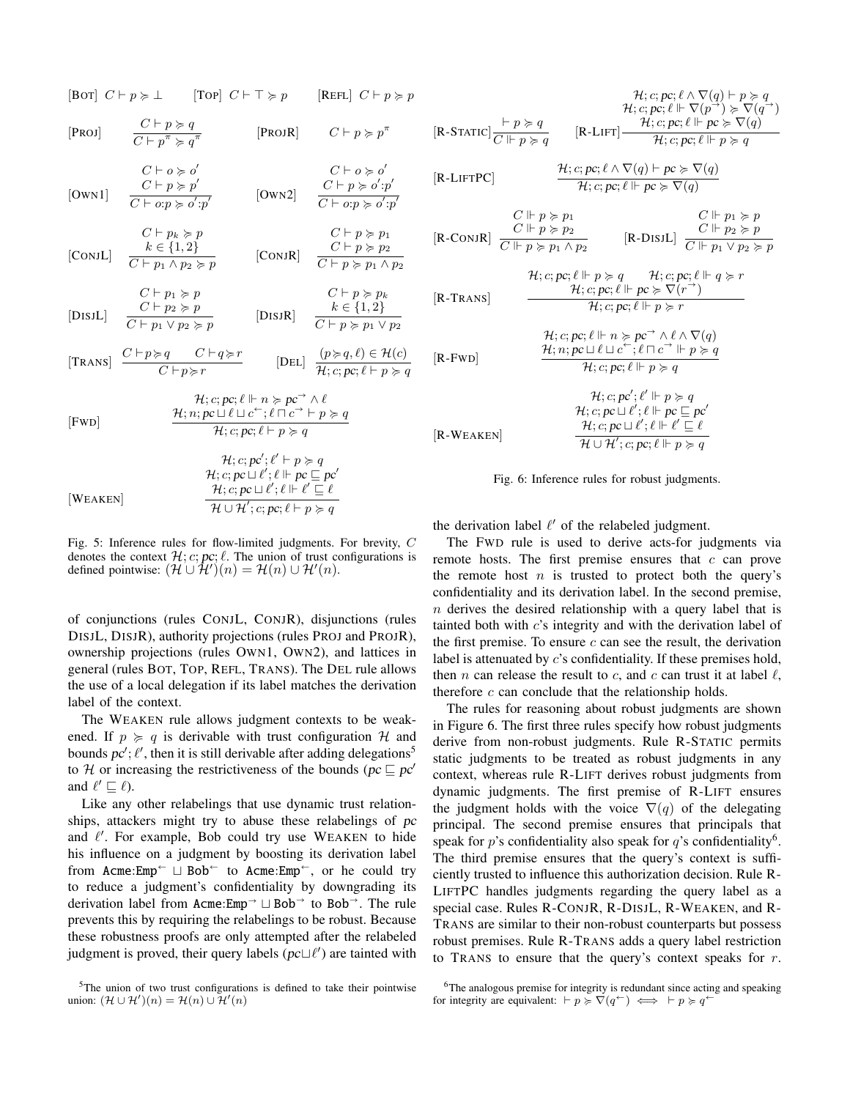$$
\begin{array}{ll}\n\text{[ProJ]} & \frac{C \vdash p \succcurlyeq q}{C \vdash p^{\pi} \succcurlyeq q^{\pi}} & \text{[ProJR]} & C \vdash p \succcurlyeq p^{\pi} \\
& \frac{C \vdash o \succcurlyeq o'}{C \vdash p \succcurlyeq p'} & \frac{C \vdash o \succcurlyeq o'}{C \vdash o \text{:p} \succcurlyeq o' : p'} \\
& \frac{C \vdash p \succcurlyeq p'}{C \vdash o : p \succcurlyeq o' : p'} & \text{[OWN2]} & \frac{C \vdash p \succcurlyeq o' : p'}{C \vdash o : p \succcurlyeq o' : p'} \\
& \frac{C \vdash p \succcurlyeq p}{C \vdash p : p \succcurlyeq p} & \frac{C \vdash p \succcurlyeq p_1}{C \vdash p \succcurlyeq p_1 \land p_2} & \frac{C \vdash p \succcurlyeq p_1}{C \vdash p \succcurlyeq p_1 \land p_2}\n\end{array}
$$

<span id="page-8-0"></span> $[Bor]$   $C \vdash p \geq \perp$   $[Top]$   $C \vdash \top \geq p$   $[REF]$   $C \vdash p \geq p$ 

[DISJL]  $C \vdash p_1 \succcurlyeq p$  $C \vdash p_2 \succcurlyeq p$  $C \vdash p_1 \vee p_2 \succcurlyeq p$ [DISJR]  $C \vdash p \succcurlyeq p_k$  $k \in \{1, 2\}$  $C \vdash p \succcurlyeq p_1 \vee p_2$ 

$$
\begin{array}{llll} \mathrm{[Trans]} & \frac{C \vdash p \succcurlyeq q & C \vdash q \succcurlyeq r}{C \vdash p \succcurlyeq r} & \qquad \mathrm{[DEL]} & \frac{(p \succcurlyeq q, \ell) \in \mathcal{H}(c)}{\mathcal{H}; c; pc; \ell \vdash p \succcurlyeq q} \end{array}
$$

[FWD]  

$$
\begin{array}{c}\n\mathcal{H}; c; pc; \ell \Vdash n \succcurlyeq pc \to \wedge \ell \\
\mathcal{H}; n; pc \sqcup \ell \sqcup c^{\leftarrow}; \ell \sqcap c^{\rightarrow} \vdash p \succcurlyeq q \\
\mathcal{H}; c; pc; \ell \vdash p \succcurlyeq q\n\end{array}
$$

$$
\begin{array}{c}\n\mathcal{H};c;\mathbf{p}c';\ell'\vdash p\succcurlyeq q \\
\mathcal{H};c;\mathbf{p}c\sqcup\ell';\ell\Vdash\mathbf{p}c\sqsubseteq\mathbf{p}c \\
\mathcal{H};c;\mathbf{p}c\sqcup\ell';\ell\Vdash\ell'\sqsubseteq\ell \\
\mathcal{H}\cup\mathcal{H}';c;\mathbf{p}c;\ell\vDash p\succcurlyeq q\n\end{array}
$$

Fig. 5: Inference rules for flow-limited judgments. For brevity, C denotes the context  $\mathcal{H}$ ; c; pc;  $\ell$ . The union of trust configurations is defined pointwise:  $(\mathcal{H} \cup \mathcal{H}')(n) = \mathcal{H}(n) \cup \mathcal{H}'(n)$ .

 $\overline{\phantom{a}}$ 

of conjunctions (rules C[ONJ](#page-8-0)L, C[ONJ](#page-8-0)R), disjunctions (rules D[ISJ](#page-8-0)L, D[ISJ](#page-8-0)R), authority projections (rules P[ROJ](#page-8-0) and P[ROJ](#page-8-0)R), ownership projections (rules O[WN](#page-8-0)1, O[WN](#page-8-0)2), and lattices in general (rules B[OT](#page-8-0), T[OP](#page-8-0), R[EFL](#page-8-0), T[RANS](#page-8-0)). The D[EL](#page-8-0) rule allows the use of a local delegation if its label matches the derivation label of the context.

The W[EAKEN](#page-8-0) rule allows judgment contexts to be weakened. If  $p \ge q$  is derivable with trust configuration H and bounds  $pc'; \ell'$ , then it is still derivable after adding delegations<sup>[5](#page-8-2)</sup> to H or increasing the restrictiveness of the bounds ( $pc \sqsubset pc'$ and  $\ell' \sqsubseteq \ell$ ).

Like any other relabelings that use dynamic trust relationships, attackers might try to abuse these relabelings of pc and  $\ell'$ . For example, Bob could try use W[EAKEN](#page-8-0) to hide his influence on a judgment by boosting its derivation label from  $Acme:Emp^{\leftarrow} \sqcup Bob^{\leftarrow}$  to  $Acme:Emp^{\leftarrow}$ , or he could try to reduce a judgment's confidentiality by downgrading its derivation label from  $Acme:Emp \rightarrow \Box Bob \rightarrow \text{to} Bob \rightarrow$ . The rule prevents this by requiring the relabelings to be robust. Because these robustness proofs are only attempted after the relabeled judgment is proved, their query labels ( $pc \perp \ell'$ ) are tainted with

<span id="page-8-2"></span>

<span id="page-8-1"></span>

| H; c; pc; $l \wedge \nabla(q) \vdash p \succcurlyeq q$        |                                                                                                                                                   |           |                                                                                                                     |
|---------------------------------------------------------------|---------------------------------------------------------------------------------------------------------------------------------------------------|-----------|---------------------------------------------------------------------------------------------------------------------|
| H; c; pc; $l \Vdash \nabla(p^{-}) \succcurlyeq \nabla(q^{-})$ |                                                                                                                                                   |           |                                                                                                                     |
| [R-STATIC]                                                    | $\frac{\vdash p \succcurlyeq q}{C \Vdash p \succcurlyeq q}$                                                                                       | [R-LIFT]  | $\frac{\mathcal{H}; c; pc; \ell \Vdash p \succcurlyeq \nabla(q)}{\mathcal{H}; c; pc; \ell \Vdash p \succcurlyeq q}$ |
| [R-LIFTPC]                                                    | $\frac{\mathcal{H}; c; pc; \ell \wedge \nabla(q) \vdash pc \succcurlyeq \nabla(q)}{\mathcal{H}; c; pc; \ell \Vdash p \succcurlyeq \nabla(q)}$     |           |                                                                                                                     |
| C \Vdash p \succcurlyeq p_1                                   | $C \Vdash p_1 \succcurlyeq p_2$                                                                                                                   |           |                                                                                                                     |
| [R-CONJR]                                                     | $\frac{C \Vdash p \succcurlyeq p_1}{C \Vdash p \succcurlyeq p_1 \wedge p_2}$                                                                      | [R-DISIL] | $\frac{C \Vdash p_1 \succcurlyeq p}{C \Vdash p_1 \vee p_2 \succcurlyeq p}$                                          |
| H; c; pc; $l \Vdash p \succcurlyeq q$                         | $\mathcal{H}; c; pc; \ell \Vdash p \succcurlyeq r$                                                                                                |           |                                                                                                                     |
| [R-TRANS]                                                     | $\frac{\mathcal{H}; c; pc; \ell \Vdash p \succcurlyeq q}{\mathcal{H}; c; pc; \ell \Vdash p \succcurlyeq r}$                                       |           |                                                                                                                     |
| H; c; pc; $l \Vdash p \succcurlyeq q$                         | $\mathcal{H}; c; pc; \ell \Vdash p \succcurlyeq q$                                                                                                |           |                                                                                                                     |
| [R-FWD]                                                       | $\frac{\mathcal{H}; n; pc \sqcup \ell \sqcup c^{+}; \ell \sqcap c^{+} \Vdash p \succcurlyeq q}{\mathcal{H}; c; pc; \ell \Vdash p \succcurlyeq q}$ |           |                                                                                                                     |
|                                                               |                                                                                                                                                   |           |                                                                                                                     |

[R-WEAKEN]

Fig. 6: Inference rules for robust judgments.

 $\mathcal{H}; c; pc \sqcup \ell'; \ell \Vdash pc \sqsubseteq pc'$  $\mathcal{H}; c; pc \sqcup \ell'; \ell \Vdash \ell' \sqsubseteq \ell$  $\overline{\mathcal{H} \cup \mathcal{H}'; c; pc; \ell \Vdash p \succcurlyeq q}$ 

the derivation label  $\ell'$  of the relabeled judgment.

The F[WD](#page-8-0) rule is used to derive acts-for judgments via remote hosts. The first premise ensures that  $c$  can prove the remote host  $n$  is trusted to protect both the query's confidentiality and its derivation label. In the second premise,  $n$  derives the desired relationship with a query label that is tainted both with c's integrity and with the derivation label of the first premise. To ensure  $c$  can see the result, the derivation label is attenuated by c's confidentiality. If these premises hold, then *n* can release the result to *c*, and *c* can trust it at label  $\ell$ , therefore  $c$  can conclude that the relationship holds.

The rules for reasoning about robust judgments are shown in Figure [6.](#page-8-1) The first three rules specify how robust judgments derive from non-robust judgments. Rule R-S[TATIC](#page-8-1) permits static judgments to be treated as robust judgments in any context, whereas rule [R-L](#page-8-1)IFT derives robust judgments from dynamic judgments. The first premise of [R-L](#page-8-1)IFT ensures the judgment holds with the voice  $\nabla(q)$  of the delegating principal. The second premise ensures that principals that speak for  $p$ 's confidentiality also speak for  $q$ 's confidentiality<sup>[6](#page-8-3)</sup>. The third premise ensures that the query's context is sufficiently trusted to influence this authorization decision. Rule [R-](#page-8-1)LIFT[PC](#page-8-1) handles judgments regarding the query label as a special case. Rules [R-C](#page-8-1)ONJR, [R-D](#page-8-1)ISJL, R-W[EAKEN](#page-8-1), and [R-](#page-8-1)T[RANS](#page-8-1) are similar to their non-robust counterparts but possess robust premises. Rule R-T[RANS](#page-8-1) adds a query label restriction to T[RANS](#page-8-0) to ensure that the query's context speaks for  $r$ .

<span id="page-8-3"></span><sup>&</sup>lt;sup>6</sup>The analogous premise for integrity is redundant since acting and speaking for integrity are equivalent:  $\vdash p \succcurlyeq \nabla (q^{\leftarrow}) \iff \vdash p \succcurlyeq q^{\leftarrow}$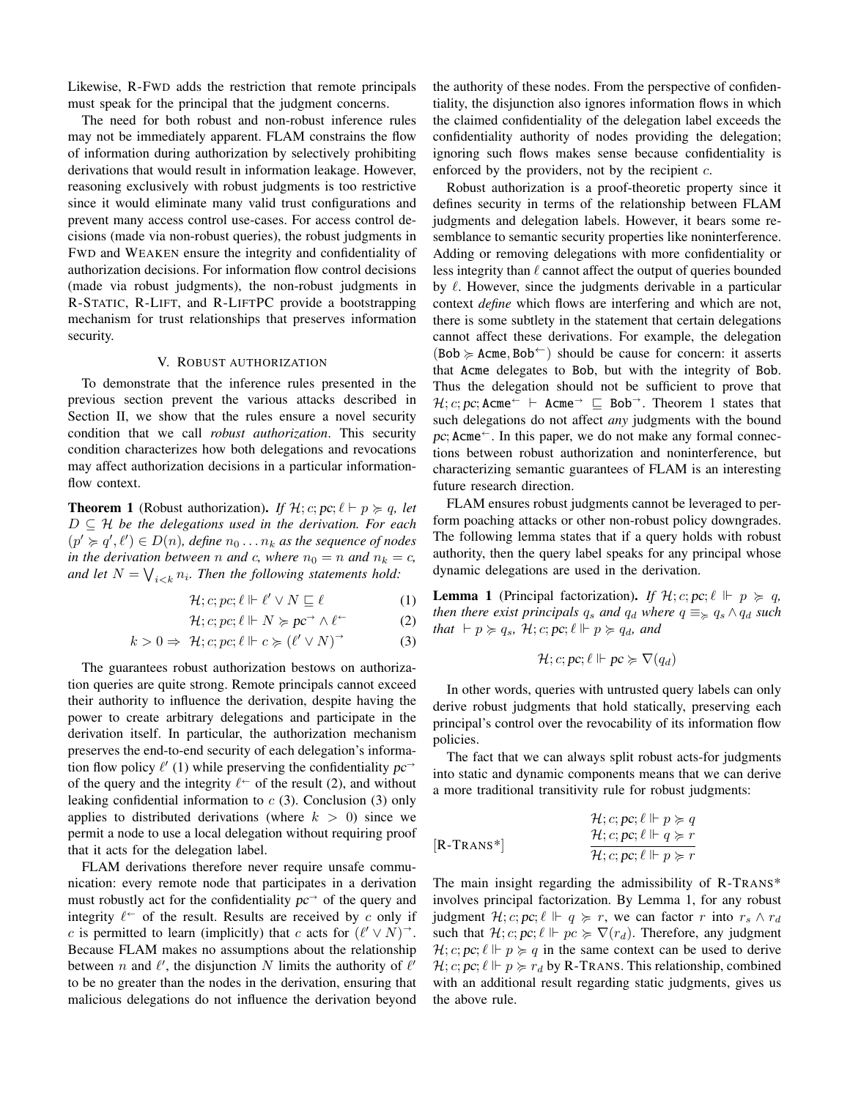Likewise, [R-F](#page-8-1)WD adds the restriction that remote principals must speak for the principal that the judgment concerns.

The need for both robust and non-robust inference rules may not be immediately apparent. FLAM constrains the flow of information during authorization by selectively prohibiting derivations that would result in information leakage. However, reasoning exclusively with robust judgments is too restrictive since it would eliminate many valid trust configurations and prevent many access control use-cases. For access control decisions (made via non-robust queries), the robust judgments in F[WD](#page-8-0) and W[EAKEN](#page-8-0) ensure the integrity and confidentiality of authorization decisions. For information flow control decisions (made via robust judgments), the non-robust judgments in R-S[TATIC](#page-8-1), [R-L](#page-8-1)IFT, and [R-L](#page-8-1)IFTPC provide a bootstrapping mechanism for trust relationships that preserves information security.

#### V. ROBUST AUTHORIZATION

<span id="page-9-0"></span>To demonstrate that the inference rules presented in the previous section prevent the various attacks described in Section [II,](#page-1-0) we show that the rules ensure a novel security condition that we call *robust authorization*. This security condition characterizes how both delegations and revocations may affect authorization decisions in a particular informationflow context.

<span id="page-9-4"></span>**Theorem 1** (Robust authorization). *If*  $H$ ; *c*; *pc*;  $\ell \vdash p \succcurlyeq q$ , *let* D ⊆ H *be the delegations used in the derivation. For each*  $(p' \succcurlyeq q', \ell') \in D(n)$ , define  $n_0 \ldots n_k$  as the sequence of nodes *in the derivation between n and c*, *where*  $n_0 = n$  *and*  $n_k = c$ , and let  $N = \bigvee_{i < k} n_i$ . Then the following statements hold:

$$
\mathcal{H}; c; pc; \ell \Vdash \ell' \lor N \sqsubseteq \ell \tag{1}
$$

$$
\mathcal{H}; c; pc; \ell \Vdash N \succcurlyeq pc^{\rightarrow} \wedge \ell^{\leftarrow} \tag{2}
$$

$$
k > 0 \Rightarrow \mathcal{H}; c; pc; \ell \Vdash c \succcurlyeq (\ell' \vee N)^{\rightarrow} \tag{3}
$$

The guarantees robust authorization bestows on authorization queries are quite strong. Remote principals cannot exceed their authority to influence the derivation, despite having the power to create arbitrary delegations and participate in the derivation itself. In particular, the authorization mechanism preserves the end-to-end security of each delegation's information flow policy  $\ell'$  [\(1\)](#page-9-1) while preserving the confidentiality  $pc^{-1}$ of the query and the integrity  $\ell^{\leftarrow}$  of the result [\(2\)](#page-9-2), and without leaking confidential information to  $c(3)$  $c(3)$ . Conclusion (3) only applies to distributed derivations (where  $k > 0$ ) since we permit a node to use a local delegation without requiring proof that it acts for the delegation label.

FLAM derivations therefore never require unsafe communication: every remote node that participates in a derivation must robustly act for the confidentiality  $pc$ <sup>→</sup> of the query and integrity  $\ell^{\leftarrow}$  of the result. Results are received by c only if c is permitted to learn (implicitly) that c acts for  $(\ell' \vee N)^{\rightarrow}$ . Because FLAM makes no assumptions about the relationship between n and  $\ell'$ , the disjunction N limits the authority of  $\ell'$ to be no greater than the nodes in the derivation, ensuring that malicious delegations do not influence the derivation beyond the authority of these nodes. From the perspective of confidentiality, the disjunction also ignores information flows in which the claimed confidentiality of the delegation label exceeds the confidentiality authority of nodes providing the delegation; ignoring such flows makes sense because confidentiality is enforced by the providers, not by the recipient  $c$ .

Robust authorization is a proof-theoretic property since it defines security in terms of the relationship between FLAM judgments and delegation labels. However, it bears some resemblance to semantic security properties like noninterference. Adding or removing delegations with more confidentiality or less integrity than  $\ell$  cannot affect the output of queries bounded by  $\ell$ . However, since the judgments derivable in a particular context *define* which flows are interfering and which are not, there is some subtlety in the statement that certain delegations cannot affect these derivations. For example, the delegation  $(Bob \ge Acme, Bob^{\leftarrow})$  should be cause for concern: it asserts that Acme delegates to Bob, but with the integrity of Bob. Thus the delegation should not be sufficient to prove that  $\mathcal{H}$ ; c; pc; Acme<sup> $\leftarrow \ \vdash$ </sup> Acme<sup> $\rightarrow \sqsubseteq$ </sup> Bob<sup> $\rightarrow$ </sup>. Theorem [1](#page-9-4) states that such delegations do not affect *any* judgments with the bound  $pc$ ; Acme $\leftarrow$ . In this paper, we do not make any formal connections between robust authorization and noninterference, but characterizing semantic guarantees of FLAM is an interesting future research direction.

FLAM ensures robust judgments cannot be leveraged to perform poaching attacks or other non-robust policy downgrades. The following lemma states that if a query holds with robust authority, then the query label speaks for any principal whose dynamic delegations are used in the derivation.

<span id="page-9-5"></span><span id="page-9-3"></span><span id="page-9-2"></span><span id="page-9-1"></span>**Lemma 1** (Principal factorization). If  $\mathcal{H}$ ; c; pc;  $\ell \Vdash p \succcurlyeq q$ , *then there exist principals*  $q_s$  *and*  $q_d$  *where*  $q \equiv \xi q_s \wedge q_d$  *such that*  $\vdash p \succcurlyeq q_s$ ,  $\mathcal{H}$ ; *c*;  $pc$ ;  $\ell \Vdash p \succcurlyeq q_d$ , and

$$
\mathcal{H}; c; pc; \ell \Vdash pc \succcurlyeq \nabla(q_d)
$$

In other words, queries with untrusted query labels can only derive robust judgments that hold statically, preserving each principal's control over the revocability of its information flow policies.

The fact that we can always split robust acts-for judgments into static and dynamic components means that we can derive a more traditional transitivity rule for robust judgments:

$$
\mathcal{H}; c; pc; \ell \Vdash p \succcurlyeq q
$$
\n
$$
\mathcal{H}; c; pc; \ell \Vdash q \succcurlyeq r
$$
\n
$$
\mathcal{H}; c; pc; \ell \Vdash q \succcurlyeq r
$$
\n
$$
\mathcal{H}; c; pc; \ell \Vdash p \succcurlyeq r
$$

The main insight regarding the admissibility of R-T[RANS](#page-9-5)\* involves principal factorization. By Lemma [1,](#page-9-5) for any robust judgment  $\mathcal{H}$ ; c; pc;  $\ell \Vdash q \succcurlyeq r$ , we can factor r into  $r_s \wedge r_d$ such that  $\mathcal{H}$ ; c; pc;  $\ell \Vdash pc \succcurlyeq \nabla(r_d)$ . Therefore, any judgment  $\mathcal{H}$ ; c; pc;  $\ell \Vdash p \succ q$  in the same context can be used to derive  $\mathcal{H}$ ; c; pc;  $\ell \Vdash p \succcurlyeq r_d$  by R-T[RANS](#page-8-1). This relationship, combined with an additional result regarding static judgments, gives us the above rule.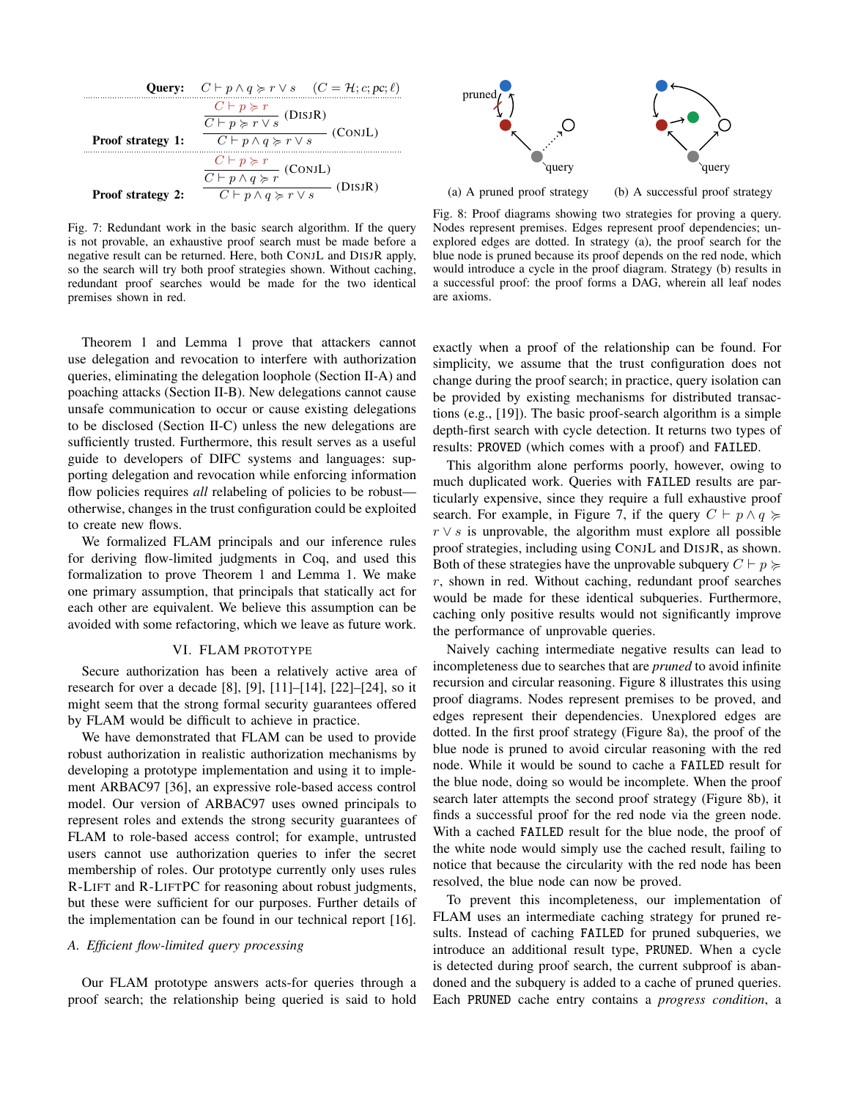<span id="page-10-1"></span>

Fig. 7: Redundant work in the basic search algorithm. If the query is not provable, an exhaustive proof search must be made before a negative result can be returned. Here, both C[ONJ](#page-8-0)L and D[ISJ](#page-8-0)R apply, so the search will try both proof strategies shown. Without caching, redundant proof searches would be made for the two identical premises shown in red.

Theorem [1](#page-9-4) and Lemma [1](#page-9-5) prove that attackers cannot use delegation and revocation to interfere with authorization queries, eliminating the delegation loophole (Section [II-A\)](#page-1-3) and poaching attacks (Section [II-B\)](#page-2-1). New delegations cannot cause unsafe communication to occur or cause existing delegations to be disclosed (Section [II-C\)](#page-2-2) unless the new delegations are sufficiently trusted. Furthermore, this result serves as a useful guide to developers of DIFC systems and languages: supporting delegation and revocation while enforcing information flow policies requires *all* relabeling of policies to be robust otherwise, changes in the trust configuration could be exploited to create new flows.

We formalized FLAM principals and our inference rules for deriving flow-limited judgments in Coq, and used this formalization to prove Theorem [1](#page-9-4) and Lemma [1.](#page-9-5) We make one primary assumption, that principals that statically act for each other are equivalent. We believe this assumption can be avoided with some refactoring, which we leave as future work.

#### VI. FLAM PROTOTYPE

<span id="page-10-0"></span>Secure authorization has been a relatively active area of research for over a decade [\[8\]](#page-13-5), [\[9\]](#page-13-16), [\[11\]](#page-13-17)–[\[14\]](#page-13-6), [\[22\]](#page-13-19)–[\[24\]](#page-13-20), so it might seem that the strong formal security guarantees offered by FLAM would be difficult to achieve in practice.

We have demonstrated that FLAM can be used to provide robust authorization in realistic authorization mechanisms by developing a prototype implementation and using it to implement ARBAC97 [\[36\]](#page-13-34), an expressive role-based access control model. Our version of ARBAC97 uses owned principals to represent roles and extends the strong security guarantees of FLAM to role-based access control; for example, untrusted users cannot use authorization queries to infer the secret membership of roles. Our prototype currently only uses rules [R-L](#page-8-1)IFT and [R-L](#page-8-1)IFTPC for reasoning about robust judgments, but these were sufficient for our purposes. Further details of the implementation can be found in our technical report [\[16\]](#page-13-9).

## *A. Efficient flow-limited query processing*

Our FLAM prototype answers acts-for queries through a proof search; the relationship being queried is said to hold

<span id="page-10-2"></span>

(a) A pruned proof strategy (b) A successful proof strategy

Fig. 8: Proof diagrams showing two strategies for proving a query. Nodes represent premises. Edges represent proof dependencies; unexplored edges are dotted. In strategy (a), the proof search for the blue node is pruned because its proof depends on the red node, which would introduce a cycle in the proof diagram. Strategy (b) results in a successful proof: the proof forms a DAG, wherein all leaf nodes are axioms.

exactly when a proof of the relationship can be found. For simplicity, we assume that the trust configuration does not change during the proof search; in practice, query isolation can be provided by existing mechanisms for distributed transactions (e.g., [\[19\]](#page-13-13)). The basic proof-search algorithm is a simple depth-first search with cycle detection. It returns two types of results: PROVED (which comes with a proof) and FAILED.

This algorithm alone performs poorly, however, owing to much duplicated work. Queries with FAILED results are particularly expensive, since they require a full exhaustive proof search. For example, in Figure [7,](#page-10-1) if the query  $C \vdash p \land q \succcurlyeq$  $r \vee s$  is unprovable, the algorithm must explore all possible proof strategies, including using C[ONJ](#page-8-0)L and D[ISJ](#page-8-0)R, as shown. Both of these strategies have the unprovable subquery  $C \vdash p \succcurlyeq$  $r$ , shown in red. Without caching, redundant proof searches would be made for these identical subqueries. Furthermore, caching only positive results would not significantly improve the performance of unprovable queries.

Naively caching intermediate negative results can lead to incompleteness due to searches that are *pruned* to avoid infinite recursion and circular reasoning. Figure [8](#page-10-2) illustrates this using proof diagrams. Nodes represent premises to be proved, and edges represent their dependencies. Unexplored edges are dotted. In the first proof strategy (Figure [8a\)](#page-10-2), the proof of the blue node is pruned to avoid circular reasoning with the red node. While it would be sound to cache a FAILED result for the blue node, doing so would be incomplete. When the proof search later attempts the second proof strategy (Figure [8b\)](#page-10-2), it finds a successful proof for the red node via the green node. With a cached FAILED result for the blue node, the proof of the white node would simply use the cached result, failing to notice that because the circularity with the red node has been resolved, the blue node can now be proved.

To prevent this incompleteness, our implementation of FLAM uses an intermediate caching strategy for pruned results. Instead of caching FAILED for pruned subqueries, we introduce an additional result type, PRUNED. When a cycle is detected during proof search, the current subproof is abandoned and the subquery is added to a cache of pruned queries. Each PRUNED cache entry contains a *progress condition*, a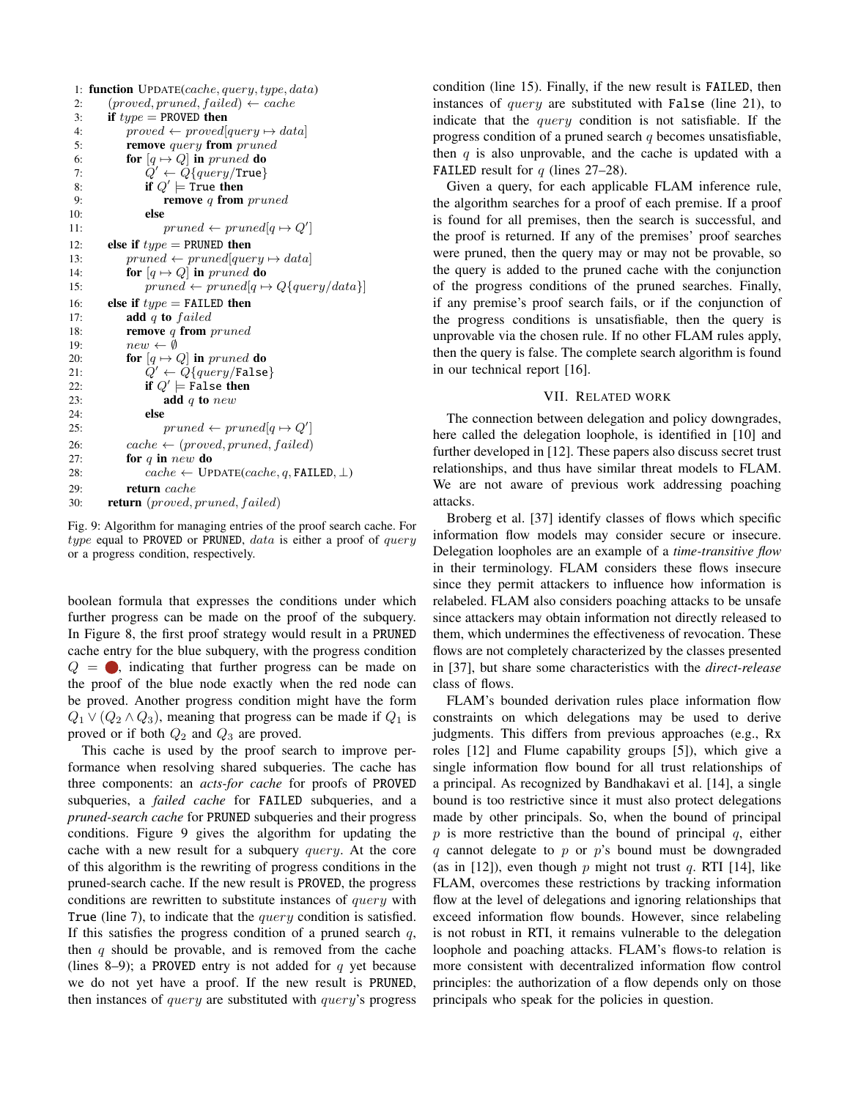<span id="page-11-1"></span>

|     | 1: <b>function</b> $UPDATE(cache, query, type, data)$            |
|-----|------------------------------------------------------------------|
| 2:  | $(pred, pruned, failed) \leftarrow cache$                        |
| 3:  | if $type =$ PROVED then                                          |
| 4:  | $proved \leftarrow proved[query \rightarrow data]$               |
| 5:  | remove query from pruned                                         |
| 6:  | for $[q \mapsto Q]$ in pruned do                                 |
| 7:  | $Q' \leftarrow Q\{query / \text{True}\}$                         |
| 8:  | if $Q' \models$ True then                                        |
| 9:  | <b>remove</b> q from $pruned$                                    |
| 10: | else                                                             |
| 11: | $pruned \leftarrow pruned[q \mapsto Q']$                         |
| 12: | else if $type = PRUNED$ then                                     |
| 13: | $pruned \leftarrow pruned[query \rightarrow data]$               |
| 14: | for $[q \mapsto Q]$ in pruned do                                 |
| 15: | $pruned \leftarrow pruned[q \mapsto Q\{query / data\}]$          |
| 16: | else if $type = \text{FAILED}$ then                              |
| 17: | add $q$ to failed                                                |
| 18: | remove $q$ from $pruned$                                         |
| 19: | $new \leftarrow \emptyset$                                       |
| 20: | for $[q \mapsto Q]$ in pruned do                                 |
| 21: | $Q' \leftarrow Q\{query / \texttt{False}\}$                      |
| 22: | if $Q' \models$ False then                                       |
| 23: | add $q$ to $new$                                                 |
| 24: | else                                                             |
| 25: | $pruned \leftarrow pruned q \mapsto Q' $                         |
| 26: | $cache \leftarrow (proved, pruned, failed)$                      |
| 27: | for q in new do                                                  |
| 28: | $cache \leftarrow \text{UPDATE}(cache, q, \text{FAILED}, \perp)$ |
| 29: | return cache                                                     |
| 30: | <b>return</b> (proved, pruned, failed)                           |
|     |                                                                  |

Fig. 9: Algorithm for managing entries of the proof search cache. For  $type$  equal to PROVED or PRUNED,  $data$  is either a proof of  $query$ or a progress condition, respectively.

boolean formula that expresses the conditions under which further progress can be made on the proof of the subquery. In Figure [8,](#page-10-2) the first proof strategy would result in a PRUNED cache entry for the blue subquery, with the progress condition  $Q = \bullet$ , indicating that further progress can be made on the proof of the blue node exactly when the red node can be proved. Another progress condition might have the form  $Q_1 \vee (Q_2 \wedge Q_3)$ , meaning that progress can be made if  $Q_1$  is proved or if both  $Q_2$  and  $Q_3$  are proved.

This cache is used by the proof search to improve performance when resolving shared subqueries. The cache has three components: an *acts-for cache* for proofs of PROVED subqueries, a *failed cache* for FAILED subqueries, and a *pruned-search cache* for PRUNED subqueries and their progress conditions. Figure [9](#page-11-1) gives the algorithm for updating the cache with a new result for a subquery query. At the core of this algorithm is the rewriting of progress conditions in the pruned-search cache. If the new result is PROVED, the progress conditions are rewritten to substitute instances of *query* with True (line [7\)](#page-11-1), to indicate that the *query* condition is satisfied. If this satisfies the progress condition of a pruned search  $q$ , then  $q$  should be provable, and is removed from the cache (lines [8–9\)](#page-11-1); a PROVED entry is not added for q yet because we do not yet have a proof. If the new result is PRUNED, then instances of *query* are substituted with *query*'s progress condition (line [15\)](#page-11-1). Finally, if the new result is FAILED, then instances of query are substituted with False (line [21\)](#page-11-1), to indicate that the *query* condition is not satisfiable. If the progress condition of a pruned search  $q$  becomes unsatisfiable, then  $q$  is also unprovable, and the cache is updated with a **FAILED** result for  $q$  (lines [27–28\)](#page-11-1).

Given a query, for each applicable FLAM inference rule, the algorithm searches for a proof of each premise. If a proof is found for all premises, then the search is successful, and the proof is returned. If any of the premises' proof searches were pruned, then the query may or may not be provable, so the query is added to the pruned cache with the conjunction of the progress conditions of the pruned searches. Finally, if any premise's proof search fails, or if the conjunction of the progress conditions is unsatisfiable, then the query is unprovable via the chosen rule. If no other FLAM rules apply, then the query is false. The complete search algorithm is found in our technical report [\[16\]](#page-13-9).

# VII. RELATED WORK

<span id="page-11-0"></span>The connection between delegation and policy downgrades, here called the delegation loophole, is identified in [\[10\]](#page-13-10) and further developed in [\[12\]](#page-13-7). These papers also discuss secret trust relationships, and thus have similar threat models to FLAM. We are not aware of previous work addressing poaching attacks.

Broberg et al. [\[37\]](#page-13-35) identify classes of flows which specific information flow models may consider secure or insecure. Delegation loopholes are an example of a *time-transitive flow* in their terminology. FLAM considers these flows insecure since they permit attackers to influence how information is relabeled. FLAM also considers poaching attacks to be unsafe since attackers may obtain information not directly released to them, which undermines the effectiveness of revocation. These flows are not completely characterized by the classes presented in [\[37\]](#page-13-35), but share some characteristics with the *direct-release* class of flows.

FLAM's bounded derivation rules place information flow constraints on which delegations may be used to derive judgments. This differs from previous approaches (e.g., Rx roles [\[12\]](#page-13-7) and Flume capability groups [\[5\]](#page-13-23)), which give a single information flow bound for all trust relationships of a principal. As recognized by Bandhakavi et al. [\[14\]](#page-13-6), a single bound is too restrictive since it must also protect delegations made by other principals. So, when the bound of principal  $p$  is more restrictive than the bound of principal  $q$ , either q cannot delegate to p or p's bound must be downgraded (as in [\[12\]](#page-13-7)), even though  $p$  might not trust  $q$ . RTI [\[14\]](#page-13-6), like FLAM, overcomes these restrictions by tracking information flow at the level of delegations and ignoring relationships that exceed information flow bounds. However, since relabeling is not robust in RTI, it remains vulnerable to the delegation loophole and poaching attacks. FLAM's flows-to relation is more consistent with decentralized information flow control principles: the authorization of a flow depends only on those principals who speak for the policies in question.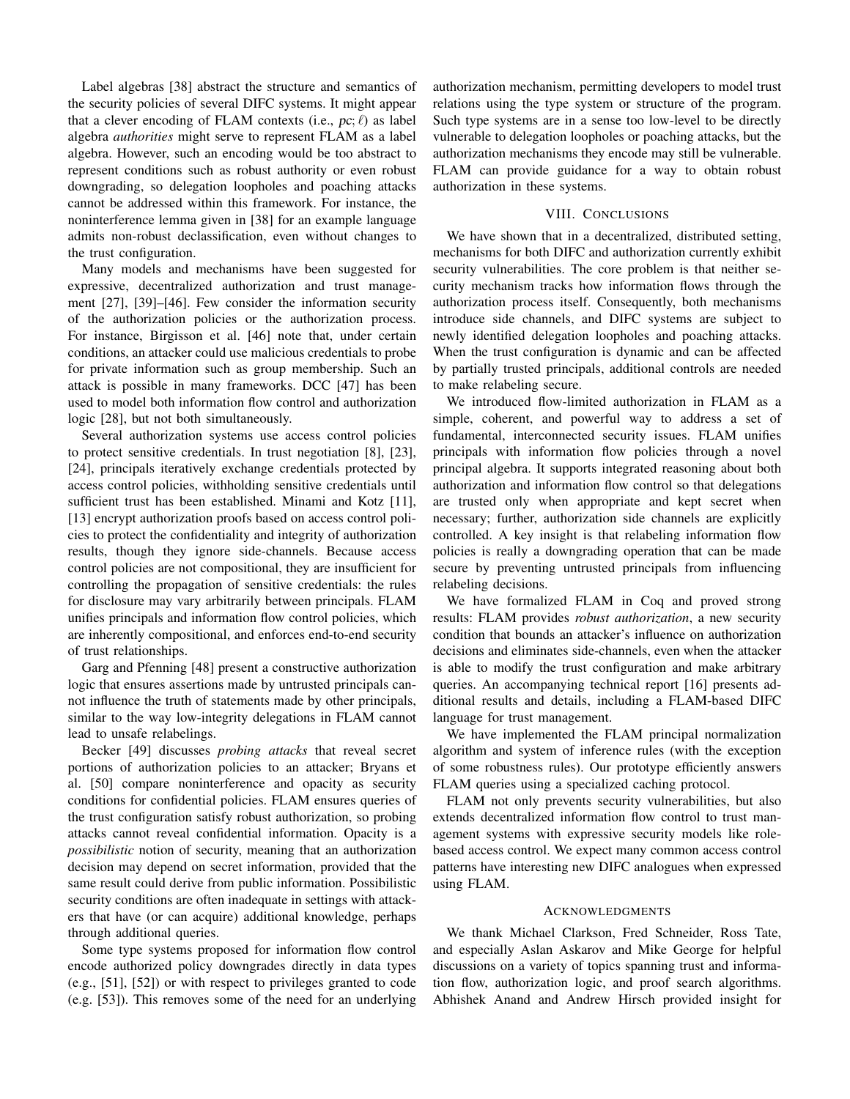Label algebras [\[38\]](#page-13-36) abstract the structure and semantics of the security policies of several DIFC systems. It might appear that a clever encoding of FLAM contexts (i.e.,  $pc$ ;  $\ell$ ) as label algebra *authorities* might serve to represent FLAM as a label algebra. However, such an encoding would be too abstract to represent conditions such as robust authority or even robust downgrading, so delegation loopholes and poaching attacks cannot be addressed within this framework. For instance, the noninterference lemma given in [\[38\]](#page-13-36) for an example language admits non-robust declassification, even without changes to the trust configuration.

Many models and mechanisms have been suggested for expressive, decentralized authorization and trust management [\[27\]](#page-13-29), [\[39\]](#page-13-37)–[\[46\]](#page-14-0). Few consider the information security of the authorization policies or the authorization process. For instance, Birgisson et al. [\[46\]](#page-14-0) note that, under certain conditions, an attacker could use malicious credentials to probe for private information such as group membership. Such an attack is possible in many frameworks. DCC [\[47\]](#page-14-1) has been used to model both information flow control and authorization logic [\[28\]](#page-13-25), but not both simultaneously.

Several authorization systems use access control policies to protect sensitive credentials. In trust negotiation [\[8\]](#page-13-5), [\[23\]](#page-13-38), [\[24\]](#page-13-20), principals iteratively exchange credentials protected by access control policies, withholding sensitive credentials until sufficient trust has been established. Minami and Kotz [\[11\]](#page-13-17), [\[13\]](#page-13-18) encrypt authorization proofs based on access control policies to protect the confidentiality and integrity of authorization results, though they ignore side-channels. Because access control policies are not compositional, they are insufficient for controlling the propagation of sensitive credentials: the rules for disclosure may vary arbitrarily between principals. FLAM unifies principals and information flow control policies, which are inherently compositional, and enforces end-to-end security of trust relationships.

Garg and Pfenning [\[48\]](#page-14-2) present a constructive authorization logic that ensures assertions made by untrusted principals cannot influence the truth of statements made by other principals, similar to the way low-integrity delegations in FLAM cannot lead to unsafe relabelings.

Becker [\[49\]](#page-14-3) discusses *probing attacks* that reveal secret portions of authorization policies to an attacker; Bryans et al. [\[50\]](#page-14-4) compare noninterference and opacity as security conditions for confidential policies. FLAM ensures queries of the trust configuration satisfy robust authorization, so probing attacks cannot reveal confidential information. Opacity is a *possibilistic* notion of security, meaning that an authorization decision may depend on secret information, provided that the same result could derive from public information. Possibilistic security conditions are often inadequate in settings with attackers that have (or can acquire) additional knowledge, perhaps through additional queries.

Some type systems proposed for information flow control encode authorized policy downgrades directly in data types (e.g., [\[51\]](#page-14-5), [\[52\]](#page-14-6)) or with respect to privileges granted to code (e.g. [\[53\]](#page-14-7)). This removes some of the need for an underlying authorization mechanism, permitting developers to model trust relations using the type system or structure of the program. Such type systems are in a sense too low-level to be directly vulnerable to delegation loopholes or poaching attacks, but the authorization mechanisms they encode may still be vulnerable. FLAM can provide guidance for a way to obtain robust authorization in these systems.

## VIII. CONCLUSIONS

We have shown that in a decentralized, distributed setting, mechanisms for both DIFC and authorization currently exhibit security vulnerabilities. The core problem is that neither security mechanism tracks how information flows through the authorization process itself. Consequently, both mechanisms introduce side channels, and DIFC systems are subject to newly identified delegation loopholes and poaching attacks. When the trust configuration is dynamic and can be affected by partially trusted principals, additional controls are needed to make relabeling secure.

We introduced flow-limited authorization in FLAM as a simple, coherent, and powerful way to address a set of fundamental, interconnected security issues. FLAM unifies principals with information flow policies through a novel principal algebra. It supports integrated reasoning about both authorization and information flow control so that delegations are trusted only when appropriate and kept secret when necessary; further, authorization side channels are explicitly controlled. A key insight is that relabeling information flow policies is really a downgrading operation that can be made secure by preventing untrusted principals from influencing relabeling decisions.

We have formalized FLAM in Coq and proved strong results: FLAM provides *robust authorization*, a new security condition that bounds an attacker's influence on authorization decisions and eliminates side-channels, even when the attacker is able to modify the trust configuration and make arbitrary queries. An accompanying technical report [\[16\]](#page-13-9) presents additional results and details, including a FLAM-based DIFC language for trust management.

We have implemented the FLAM principal normalization algorithm and system of inference rules (with the exception of some robustness rules). Our prototype efficiently answers FLAM queries using a specialized caching protocol.

FLAM not only prevents security vulnerabilities, but also extends decentralized information flow control to trust management systems with expressive security models like rolebased access control. We expect many common access control patterns have interesting new DIFC analogues when expressed using FLAM.

#### ACKNOWLEDGMENTS

We thank Michael Clarkson, Fred Schneider, Ross Tate, and especially Aslan Askarov and Mike George for helpful discussions on a variety of topics spanning trust and information flow, authorization logic, and proof search algorithms. Abhishek Anand and Andrew Hirsch provided insight for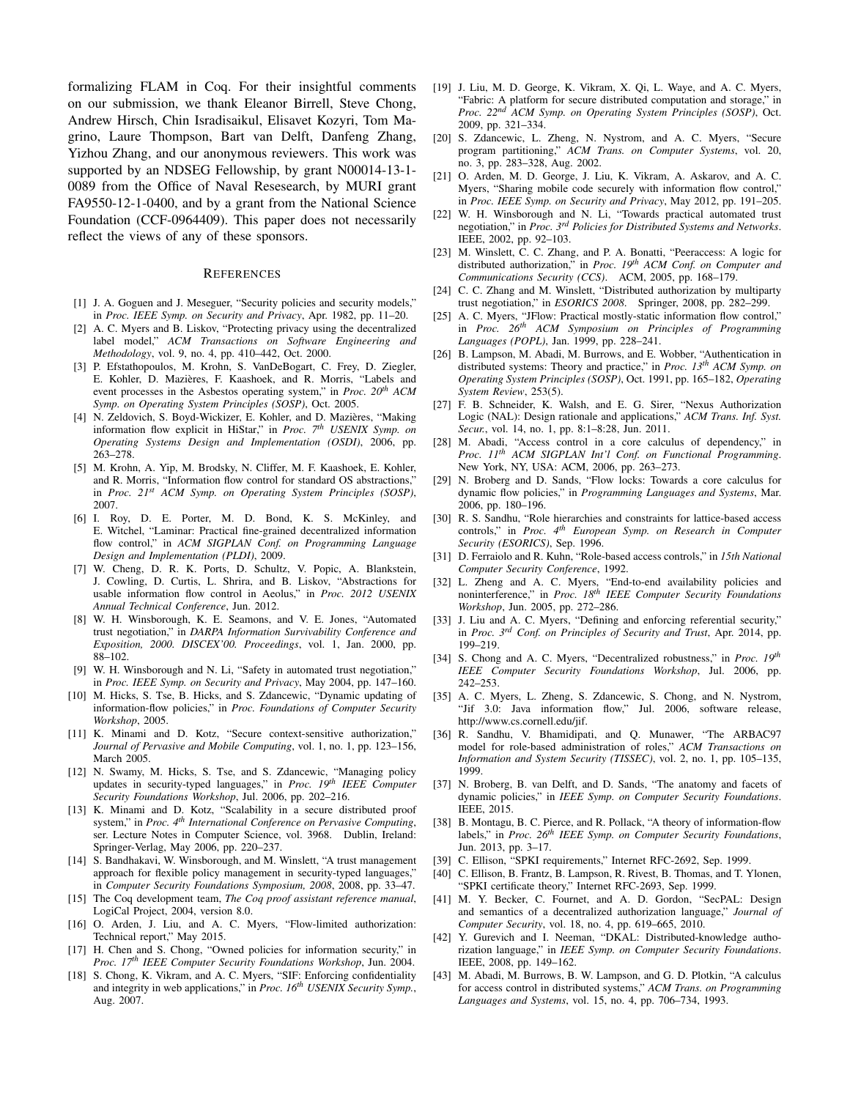formalizing FLAM in Coq. For their insightful comments on our submission, we thank Eleanor Birrell, Steve Chong, Andrew Hirsch, Chin Isradisaikul, Elisavet Kozyri, Tom Magrino, Laure Thompson, Bart van Delft, Danfeng Zhang, Yizhou Zhang, and our anonymous reviewers. This work was supported by an NDSEG Fellowship, by grant N00014-13-1- 0089 from the Office of Naval Resesearch, by MURI grant FA9550-12-1-0400, and by a grant from the National Science Foundation (CCF-0964409). This paper does not necessarily reflect the views of any of these sponsors.

#### **REFERENCES**

- <span id="page-13-0"></span>[1] J. A. Goguen and J. Meseguer, "Security policies and security models," in *Proc. IEEE Symp. on Security and Privacy*, Apr. 1982, pp. 11–20.
- <span id="page-13-1"></span>[A. C. Myers and B. Liskov, "Protecting privacy using the decentralized](http://www.cs.cornell.edu/andru/papers/iflow-tosem.pdf) label model," *[ACM Transactions on Software Engineering and](http://www.cs.cornell.edu/andru/papers/iflow-tosem.pdf) Methodology*[, vol. 9, no. 4, pp. 410–442, Oct. 2000.](http://www.cs.cornell.edu/andru/papers/iflow-tosem.pdf)
- <span id="page-13-2"></span>[3] [P. Efstathopoulos, M. Krohn, S. VanDeBogart, C. Frey, D. Ziegler,](http://dl.acm.org/citation.cfm?id=1095813) [E. Kohler, D. Mazieres, F. Kaashoek, and R. Morris, "Labels and](http://dl.acm.org/citation.cfm?id=1095813) ` [event processes in the Asbestos operating system," in](http://dl.acm.org/citation.cfm?id=1095813) *Proc. 20th ACM [Symp. on Operating System Principles \(SOSP\)](http://dl.acm.org/citation.cfm?id=1095813)*, Oct. 2005.
- <span id="page-13-22"></span>[4] N. Zeldovich, S. Boyd-Wickizer, E. Kohler, and D. Mazières, "Making [information flow explicit in HiStar," in](http://dl.acm.org/citation.cfm?id=2018419) *Proc. 7th USENIX Symp. on [Operating Systems Design and Implementation \(OSDI\)](http://dl.acm.org/citation.cfm?id=2018419)*, 2006, pp. [263–278.](http://dl.acm.org/citation.cfm?id=2018419)
- <span id="page-13-23"></span>[5] [M. Krohn, A. Yip, M. Brodsky, N. Cliffer, M. F. Kaashoek, E. Kohler,](http://dl.acm.org/citation.cfm?id=1294293) [and R. Morris, "Information flow control for standard OS abstractions,"](http://dl.acm.org/citation.cfm?id=1294293) in *Proc. 21st [ACM Symp. on Operating System Principles \(SOSP\)](http://dl.acm.org/citation.cfm?id=1294293)*, [2007.](http://dl.acm.org/citation.cfm?id=1294293)
- <span id="page-13-3"></span>[6] [I. Roy, D. E. Porter, M. D. Bond, K. S. McKinley, and](http://dl.acm.org/citation.cfm?id=1542484) [E. Witchel, "Laminar: Practical fine-grained decentralized information](http://dl.acm.org/citation.cfm?id=1542484) flow control," in *[ACM SIGPLAN Conf. on Programming Language](http://dl.acm.org/citation.cfm?id=1542484) [Design and Implementation \(PLDI\)](http://dl.acm.org/citation.cfm?id=1542484)*, 2009.
- <span id="page-13-4"></span>[7] [W. Cheng, D. R. K. Ports, D. Schultz, V. Popic, A. Blankstein,](http://dl.acm.org/citation.cfm?id=2342833) [J. Cowling, D. Curtis, L. Shrira, and B. Liskov, "Abstractions for](http://dl.acm.org/citation.cfm?id=2342833) [usable information flow control in Aeolus," in](http://dl.acm.org/citation.cfm?id=2342833) *Proc. 2012 USENIX [Annual Technical Conference](http://dl.acm.org/citation.cfm?id=2342833)*, Jun. 2012.
- <span id="page-13-5"></span>[8] [W. H. Winsborough, K. E. Seamons, and V. E. Jones, "Automated](http://ieeexplore.ieee.org/xpl/articleDetails.jsp?arnumber=824965) trust negotiation," in *[DARPA Information Survivability Conference and](http://ieeexplore.ieee.org/xpl/articleDetails.jsp?arnumber=824965) [Exposition, 2000. DISCEX'00. Proceedings](http://ieeexplore.ieee.org/xpl/articleDetails.jsp?arnumber=824965)*, vol. 1, Jan. 2000, pp. [88–102.](http://ieeexplore.ieee.org/xpl/articleDetails.jsp?arnumber=824965)
- <span id="page-13-16"></span>[9] [W. H. Winsborough and N. Li, "Safety in automated trust negotiation,"](http://dl.acm.org/citation.cfm?id=1178623) in *[Proc. IEEE Symp. on Security and Privacy](http://dl.acm.org/citation.cfm?id=1178623)*, May 2004, pp. 147–160.
- <span id="page-13-10"></span>[10] [M. Hicks, S. Tse, B. Hicks, and S. Zdancewic, "Dynamic updating of](http://www.cs.umd.edu/~mwh/papers/secupdate.pdf) information-flow policies," in *[Proc. Foundations of Computer Security](http://www.cs.umd.edu/~mwh/papers/secupdate.pdf) [Workshop](http://www.cs.umd.edu/~mwh/papers/secupdate.pdf)*, 2005.
- <span id="page-13-17"></span>[11] [K. Minami and D. Kotz, "Secure context-sensitive authorization,"](http://www.cs.dartmouth.edu/~dfk/papers/minami-jcsa.pdf) *[Journal of Pervasive and Mobile Computing](http://www.cs.dartmouth.edu/~dfk/papers/minami-jcsa.pdf)*, vol. 1, no. 1, pp. 123–156, [March 2005.](http://www.cs.dartmouth.edu/~dfk/papers/minami-jcsa.pdf)
- <span id="page-13-7"></span>[12] [N. Swamy, M. Hicks, S. Tse, and S. Zdancewic, "Managing policy](http://www.cs.umd.edu/projects/PL/rx/rx.pdf) [updates in security-typed languages," in](http://www.cs.umd.edu/projects/PL/rx/rx.pdf) *Proc. 19th IEEE Computer [Security Foundations Workshop](http://www.cs.umd.edu/projects/PL/rx/rx.pdf)*, Jul. 2006, pp. 202–216.
- <span id="page-13-18"></span>[13] [K. Minami and D. Kotz, "Scalability in a secure distributed proof](http://www.cs.dartmouth.edu/~dfk/papers/minami-scalability.pdf) system," in *Proc. 4th [International Conference on Pervasive Computing](http://www.cs.dartmouth.edu/~dfk/papers/minami-scalability.pdf)*, [ser. Lecture Notes in Computer Science, vol. 3968. Dublin, Ireland:](http://www.cs.dartmouth.edu/~dfk/papers/minami-scalability.pdf) [Springer-Verlag, May 2006, pp. 220–237.](http://www.cs.dartmouth.edu/~dfk/papers/minami-scalability.pdf)
- <span id="page-13-6"></span>[14] [S. Bandhakavi, W. Winsborough, and M. Winslett, "A trust management](http://ieeexplore.ieee.org/xpl/articleDetails.jsp?arnumber=4556677) [approach for flexible policy management in security-typed languages,"](http://ieeexplore.ieee.org/xpl/articleDetails.jsp?arnumber=4556677) in *[Computer Security Foundations Symposium, 2008](http://ieeexplore.ieee.org/xpl/articleDetails.jsp?arnumber=4556677)*, 2008, pp. 33–47.
- <span id="page-13-8"></span>[15] The Coq development team, *[The Coq proof assistant reference manual](http://coq.inria.fr)*, [LogiCal Project, 2004, version 8.0.](http://coq.inria.fr)
- <span id="page-13-9"></span>[16] [O. Arden, J. Liu, and A. C. Myers, "Flow-limited authorization:](http://hdl.handle.net/1813/40138) [Technical report," May 2015.](http://hdl.handle.net/1813/40138)
- <span id="page-13-11"></span>[17] [H. Chen and S. Chong, "Owned policies for information security," in](http://dl.acm.org/citation.cfm?id=1009380.1009671) *Proc. 17th [IEEE Computer Security Foundations Workshop](http://dl.acm.org/citation.cfm?id=1009380.1009671)*, Jun. 2004.
- <span id="page-13-12"></span>[18] S. Chong, K. Vikram, and A. C. Myers, "SIF: Enforcing confidentiality and integrity in web applications," in *Proc. 16th USENIX Security Symp.*, Aug. 2007.
- <span id="page-13-13"></span>[19] [J. Liu, M. D. George, K. Vikram, X. Qi, L. Waye, and A. C. Myers,](http://www.cs.cornell.edu/andru/papers/fabric-sosp09.html) ["Fabric: A platform for secure distributed computation and storage," in](http://www.cs.cornell.edu/andru/papers/fabric-sosp09.html) *Proc. 22nd [ACM Symp. on Operating System Principles \(SOSP\)](http://www.cs.cornell.edu/andru/papers/fabric-sosp09.html)*, Oct. [2009, pp. 321–334.](http://www.cs.cornell.edu/andru/papers/fabric-sosp09.html)
- <span id="page-13-14"></span>[20] [S. Zdancewic, L. Zheng, N. Nystrom, and A. C. Myers, "Secure](http://www.cs.cornell.edu/andru/papers/sosp01/spp-tr.pdf) program partitioning," *[ACM Trans. on Computer Systems](http://www.cs.cornell.edu/andru/papers/sosp01/spp-tr.pdf)*, vol. 20, [no. 3, pp. 283–328, Aug. 2002.](http://www.cs.cornell.edu/andru/papers/sosp01/spp-tr.pdf)
- <span id="page-13-15"></span>[21] [O. Arden, M. D. George, J. Liu, K. Vikram, A. Askarov, and A. C.](http://www.cs.cornell.edu/andru/papers/mobile.html) [Myers, "Sharing mobile code securely with information flow control,"](http://www.cs.cornell.edu/andru/papers/mobile.html) in *[Proc. IEEE Symp. on Security and Privacy](http://www.cs.cornell.edu/andru/papers/mobile.html)*, May 2012, pp. 191–205.
- <span id="page-13-19"></span>[22] W. H. Winsborough and N. Li, "Towards practical automated trust negotiation," in *Proc. 3rd Policies for Distributed Systems and Networks*. IEEE, 2002, pp. 92–103.
- <span id="page-13-38"></span>[23] M. Winslett, C. C. Zhang, and P. A. Bonatti, "Peeraccess: A logic for distributed authorization," in *Proc. 19th ACM Conf. on Computer and Communications Security (CCS)*. ACM, 2005, pp. 168–179.
- <span id="page-13-20"></span>[24] C. C. Zhang and M. Winslett, "Distributed authorization by multiparty trust negotiation," in *ESORICS 2008*. Springer, 2008, pp. 282–299.
- <span id="page-13-21"></span>[25] [A. C. Myers, "JFlow: Practical mostly-static information flow control,"](http://www.cs.cornell.edu/andru/papers/popl99/popl99.pdf) in *Proc. 26th [ACM Symposium on Principles of Programming](http://www.cs.cornell.edu/andru/papers/popl99/popl99.pdf) Languages (POPL)*[, Jan. 1999, pp. 228–241.](http://www.cs.cornell.edu/andru/papers/popl99/popl99.pdf)
- <span id="page-13-24"></span>[26] B. Lampson, M. Abadi, M. Burrows, and E. Wobber, "Authentication in distributed systems: Theory and practice," in *Proc. 13th ACM Symp. on Operating System Principles (SOSP)*, Oct. 1991, pp. 165–182, *Operating System Review*, 253(5).
- <span id="page-13-29"></span>[27] [F. B. Schneider, K. Walsh, and E. G. Sirer, "Nexus Authorization](http://doi.acm.org/10.1145/1952982.1952990) [Logic \(NAL\): Design rationale and applications,"](http://doi.acm.org/10.1145/1952982.1952990) *ACM Trans. Inf. Syst. Secur.*[, vol. 14, no. 1, pp. 8:1–8:28, Jun. 2011.](http://doi.acm.org/10.1145/1952982.1952990)
- <span id="page-13-25"></span>[28] [M. Abadi, "Access control in a core calculus of dependency," in](http://doi.acm.org/10.1145/1159803.1159839) *Proc. 11th [ACM SIGPLAN Int'l Conf. on Functional Programming](http://doi.acm.org/10.1145/1159803.1159839)*. [New York, NY, USA: ACM, 2006, pp. 263–273.](http://doi.acm.org/10.1145/1159803.1159839)
- <span id="page-13-26"></span>[29] N. Broberg and D. Sands, "Flow locks: Towards a core calculus for dynamic flow policies," in *Programming Languages and Systems*, Mar. 2006, pp. 180–196.
- <span id="page-13-27"></span>[30] R. S. Sandhu, "Role hierarchies and constraints for lattice-based access controls," in *Proc. 4th European Symp. on Research in Computer Security (ESORICS)*, Sep. 1996.
- <span id="page-13-28"></span>[31] D. Ferraiolo and R. Kuhn, "Role-based access controls," in *15th National Computer Security Conference*, 1992.
- <span id="page-13-30"></span>[32] [L. Zheng and A. C. Myers, "End-to-end availability policies and](http://www.cs.cornell.edu/andru/papers/avail.pdf) noninterference," in *Proc. 18th [IEEE Computer Security Foundations](http://www.cs.cornell.edu/andru/papers/avail.pdf) Workshop*[, Jun. 2005, pp. 272–286.](http://www.cs.cornell.edu/andru/papers/avail.pdf)
- <span id="page-13-31"></span>[33] [J. Liu and A. C. Myers, "Defining and enforcing referential security,"](http://dx.doi.org/10.1007/978-3-642-54792-8_11) in *Proc. 3rd [Conf. on Principles of Security and Trust](http://dx.doi.org/10.1007/978-3-642-54792-8_11)*, Apr. 2014, pp. [199–219.](http://dx.doi.org/10.1007/978-3-642-54792-8_11)
- <span id="page-13-32"></span>[34] [S. Chong and A. C. Myers, "Decentralized robustness," in](http://www.cs.cornell.edu/andru/papers/robdlm.pdf) *Proc. 19th [IEEE Computer Security Foundations Workshop](http://www.cs.cornell.edu/andru/papers/robdlm.pdf)*, Jul. 2006, pp. [242–253.](http://www.cs.cornell.edu/andru/papers/robdlm.pdf)
- <span id="page-13-33"></span>[35] [A. C. Myers, L. Zheng, S. Zdancewic, S. Chong, and N. Nystrom,](http://www.cs.cornell.edu/jif) ["Jif 3.0: Java information flow," Jul. 2006, software release,](http://www.cs.cornell.edu/jif) [http://www.cs.cornell.edu/jif.](http://www.cs.cornell.edu/jif)
- <span id="page-13-34"></span>[36] [R. Sandhu, V. Bhamidipati, and Q. Munawer, "The ARBAC97](http://dl.acm.org/citation.cfm?id=300839) [model for role-based administration of roles,"](http://dl.acm.org/citation.cfm?id=300839) *ACM Transactions on [Information and System Security \(TISSEC\)](http://dl.acm.org/citation.cfm?id=300839)*, vol. 2, no. 1, pp. 105–135, [1999.](http://dl.acm.org/citation.cfm?id=300839)
- <span id="page-13-35"></span>[37] N. Broberg, B. van Delft, and D. Sands, "The anatomy and facets of dynamic policies," in *IEEE Symp. on Computer Security Foundations*. IEEE, 2015.
- <span id="page-13-36"></span>[38] [B. Montagu, B. C. Pierce, and R. Pollack, "A theory of information-flow](http://dl.acm.org/citation.cfm?id=2510409) labels," in *Proc. 26th [IEEE Symp. on Computer Security Foundations](http://dl.acm.org/citation.cfm?id=2510409)*, [Jun. 2013, pp. 3–17.](http://dl.acm.org/citation.cfm?id=2510409)
- <span id="page-13-37"></span>[39] C. Ellison, "SPKI requirements," Internet RFC-2692, Sep. 1999.
- [40] C. Ellison, B. Frantz, B. Lampson, R. Rivest, B. Thomas, and T. Ylonen, "SPKI certificate theory," Internet RFC-2693, Sep. 1999.
- [41] [M. Y. Becker, C. Fournet, and A. D. Gordon, "SecPAL: Design](http://research.microsoft.com/apps/pubs/default.aspx?id=70334) [and semantics of a decentralized authorization language,"](http://research.microsoft.com/apps/pubs/default.aspx?id=70334) *Journal of Computer Security*[, vol. 18, no. 4, pp. 619–665, 2010.](http://research.microsoft.com/apps/pubs/default.aspx?id=70334)
- [42] Y. Gurevich and I. Neeman, "DKAL: Distributed-knowledge authorization language," in *IEEE Symp. on Computer Security Foundations*. IEEE, 2008, pp. 149–162.
- [43] M. Abadi, M. Burrows, B. W. Lampson, and G. D. Plotkin, "A calculus for access control in distributed systems," *ACM Trans. on Programming Languages and Systems*, vol. 15, no. 4, pp. 706–734, 1993.